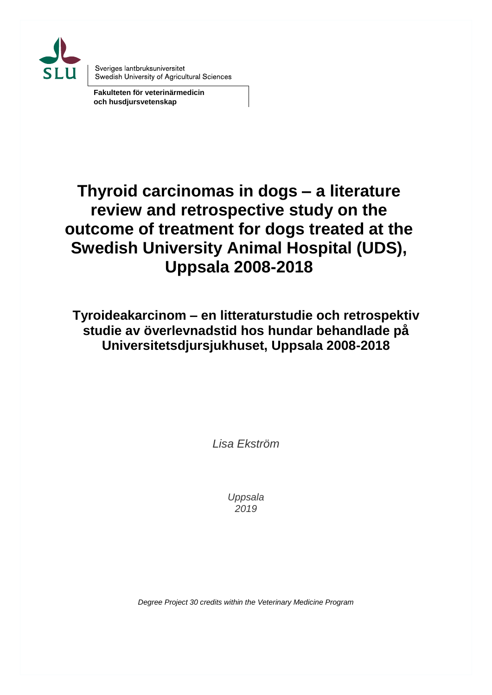

Sveriges lantbruksuniversitet Swedish University of Agricultural Sciences

**Fakulteten för veterinärmedicin och husdjursvetenskap**

# **Thyroid carcinomas in dogs – a literature review and retrospective study on the outcome of treatment for dogs treated at the Swedish University Animal Hospital (UDS), Uppsala 2008-2018**

**Tyroideakarcinom – en litteraturstudie och retrospektiv studie av överlevnadstid hos hundar behandlade på Universitetsdjursjukhuset, Uppsala 2008-2018**

*Lisa Ekström*

*Uppsala 2019*

*Degree Project 30 credits within the Veterinary Medicine Program*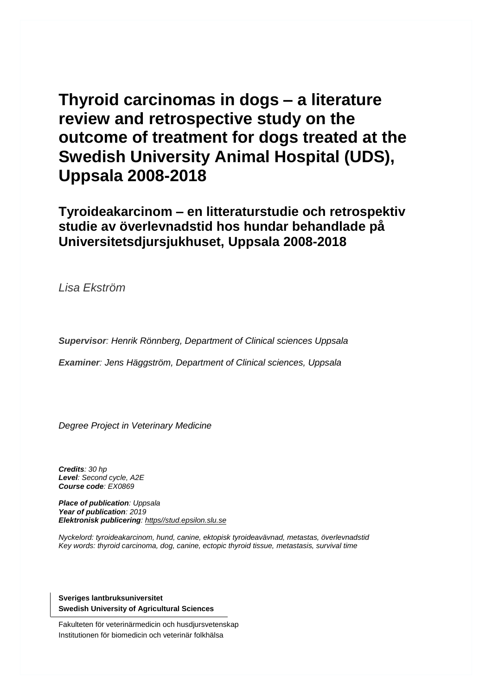# **Thyroid carcinomas in dogs – a literature review and retrospective study on the outcome of treatment for dogs treated at the Swedish University Animal Hospital (UDS), Uppsala 2008-2018**

**Tyroideakarcinom – en litteraturstudie och retrospektiv studie av överlevnadstid hos hundar behandlade på Universitetsdjursjukhuset, Uppsala 2008-2018**

*Lisa Ekström*

*Supervisor: Henrik Rönnberg, Department of Clinical sciences Uppsala*

*Examiner: Jens Häggström, Department of Clinical sciences, Uppsala*

*Degree Project in Veterinary Medicine*

*Credits: 30 hp Level: Second cycle, A2E Course code: EX0869*

*Place of publication: Uppsala Year of publication: 2019 Elektronisk publicering: https//stud.epsilon.slu.se*

*Nyckelord: tyroideakarcinom, hund, canine, ektopisk tyroideavävnad, metastas, överlevnadstid Key words: thyroid carcinoma, dog, canine, ectopic thyroid tissue, metastasis, survival time*

**Sveriges lantbruksuniversitet Swedish University of Agricultural Sciences**

Fakulteten för veterinärmedicin och husdjursvetenskap Institutionen för biomedicin och veterinär folkhälsa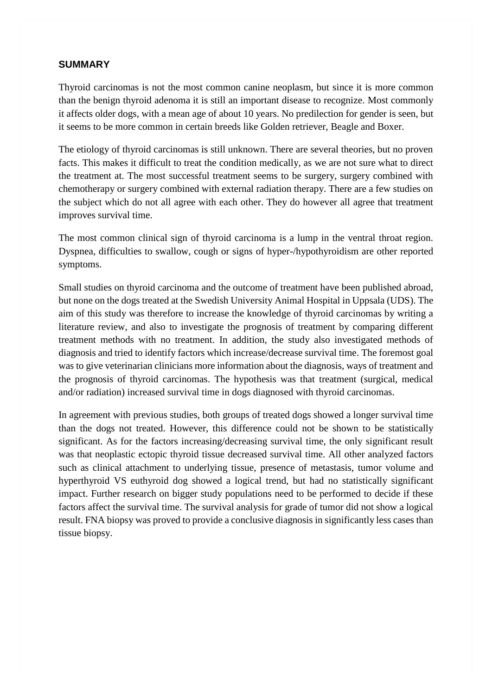#### **SUMMARY**

Thyroid carcinomas is not the most common canine neoplasm, but since it is more common than the benign thyroid adenoma it is still an important disease to recognize. Most commonly it affects older dogs, with a mean age of about 10 years. No predilection for gender is seen, but it seems to be more common in certain breeds like Golden retriever, Beagle and Boxer.

The etiology of thyroid carcinomas is still unknown. There are several theories, but no proven facts. This makes it difficult to treat the condition medically, as we are not sure what to direct the treatment at. The most successful treatment seems to be surgery, surgery combined with chemotherapy or surgery combined with external radiation therapy. There are a few studies on the subject which do not all agree with each other. They do however all agree that treatment improves survival time.

The most common clinical sign of thyroid carcinoma is a lump in the ventral throat region. Dyspnea, difficulties to swallow, cough or signs of hyper-/hypothyroidism are other reported symptoms.

Small studies on thyroid carcinoma and the outcome of treatment have been published abroad, but none on the dogs treated at the Swedish University Animal Hospital in Uppsala (UDS). The aim of this study was therefore to increase the knowledge of thyroid carcinomas by writing a literature review, and also to investigate the prognosis of treatment by comparing different treatment methods with no treatment. In addition, the study also investigated methods of diagnosis and tried to identify factors which increase/decrease survival time. The foremost goal was to give veterinarian clinicians more information about the diagnosis, ways of treatment and the prognosis of thyroid carcinomas. The hypothesis was that treatment (surgical, medical and/or radiation) increased survival time in dogs diagnosed with thyroid carcinomas.

In agreement with previous studies, both groups of treated dogs showed a longer survival time than the dogs not treated. However, this difference could not be shown to be statistically significant. As for the factors increasing/decreasing survival time, the only significant result was that neoplastic ectopic thyroid tissue decreased survival time. All other analyzed factors such as clinical attachment to underlying tissue, presence of metastasis, tumor volume and hyperthyroid VS euthyroid dog showed a logical trend, but had no statistically significant impact. Further research on bigger study populations need to be performed to decide if these factors affect the survival time. The survival analysis for grade of tumor did not show a logical result. FNA biopsy was proved to provide a conclusive diagnosis in significantly less cases than tissue biopsy.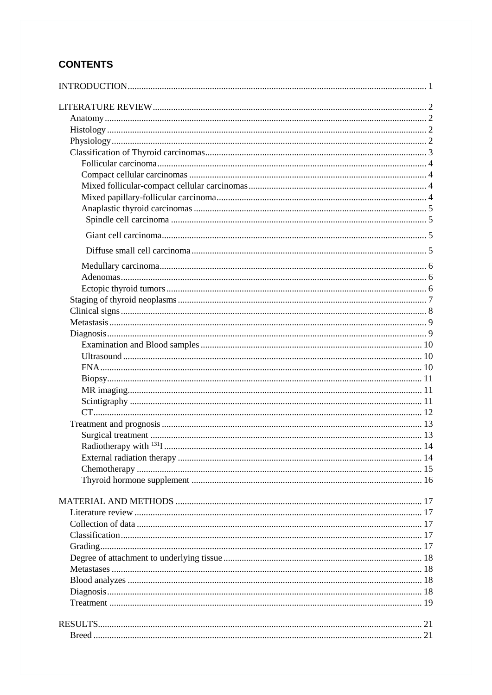# **CONTENTS**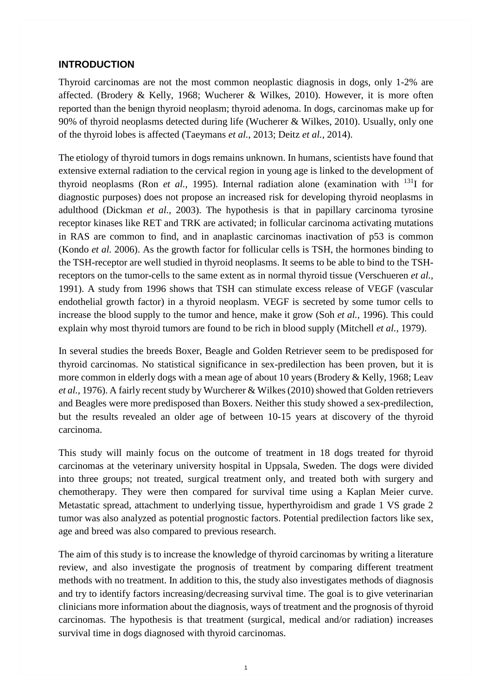#### <span id="page-8-0"></span>**INTRODUCTION**

Thyroid carcinomas are not the most common neoplastic diagnosis in dogs, only 1-2% are affected. (Brodery & Kelly, 1968; Wucherer & Wilkes, 2010). However, it is more often reported than the benign thyroid neoplasm; thyroid adenoma. In dogs, carcinomas make up for 90% of thyroid neoplasms detected during life (Wucherer & Wilkes, 2010). Usually, only one of the thyroid lobes is affected (Taeymans *et al.*, 2013; Deitz *et al.,* 2014).

The etiology of thyroid tumors in dogs remains unknown. In humans, scientists have found that extensive external radiation to the cervical region in young age is linked to the development of thyroid neoplasms (Ron *et al.*, 1995). Internal radiation alone (examination with <sup>131</sup>I for diagnostic purposes) does not propose an increased risk for developing thyroid neoplasms in adulthood (Dickman *et al.,* 2003). The hypothesis is that in papillary carcinoma tyrosine receptor kinases like RET and TRK are activated; in follicular carcinoma activating mutations in RAS are common to find, and in anaplastic carcinomas inactivation of p53 is common (Kondo *et al.* 2006). As the growth factor for follicular cells is TSH, the hormones binding to the TSH-receptor are well studied in thyroid neoplasms. It seems to be able to bind to the TSHreceptors on the tumor-cells to the same extent as in normal thyroid tissue (Verschueren *et al.,* 1991). A study from 1996 shows that TSH can stimulate excess release of VEGF (vascular endothelial growth factor) in a thyroid neoplasm. VEGF is secreted by some tumor cells to increase the blood supply to the tumor and hence, make it grow (Soh *et al.,* 1996). This could explain why most thyroid tumors are found to be rich in blood supply (Mitchell *et al.,* 1979).

In several studies the breeds Boxer, Beagle and Golden Retriever seem to be predisposed for thyroid carcinomas. No statistical significance in sex-predilection has been proven, but it is more common in elderly dogs with a mean age of about 10 years (Brodery & Kelly, 1968; Leav *et al.,* 1976). A fairly recent study by Wurcherer & Wilkes (2010) showed that Golden retrievers and Beagles were more predisposed than Boxers. Neither this study showed a sex-predilection, but the results revealed an older age of between 10-15 years at discovery of the thyroid carcinoma.

This study will mainly focus on the outcome of treatment in 18 dogs treated for thyroid carcinomas at the veterinary university hospital in Uppsala, Sweden. The dogs were divided into three groups; not treated, surgical treatment only, and treated both with surgery and chemotherapy. They were then compared for survival time using a Kaplan Meier curve. Metastatic spread, attachment to underlying tissue, hyperthyroidism and grade 1 VS grade 2 tumor was also analyzed as potential prognostic factors. Potential predilection factors like sex, age and breed was also compared to previous research.

The aim of this study is to increase the knowledge of thyroid carcinomas by writing a literature review, and also investigate the prognosis of treatment by comparing different treatment methods with no treatment. In addition to this, the study also investigates methods of diagnosis and try to identify factors increasing/decreasing survival time. The goal is to give veterinarian clinicians more information about the diagnosis, ways of treatment and the prognosis of thyroid carcinomas. The hypothesis is that treatment (surgical, medical and/or radiation) increases survival time in dogs diagnosed with thyroid carcinomas.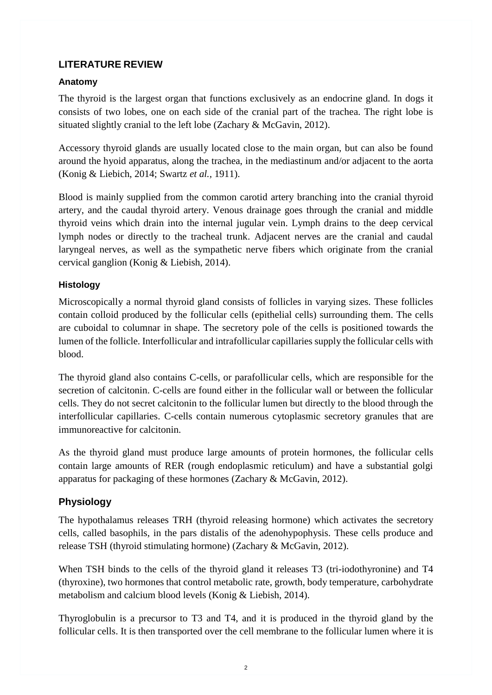### <span id="page-9-0"></span>**LITERATURE REVIEW**

### <span id="page-9-1"></span>**Anatomy**

The thyroid is the largest organ that functions exclusively as an endocrine gland. In dogs it consists of two lobes, one on each side of the cranial part of the trachea. The right lobe is situated slightly cranial to the left lobe (Zachary & McGavin, 2012).

Accessory thyroid glands are usually located close to the main organ, but can also be found around the hyoid apparatus, along the trachea, in the mediastinum and/or adjacent to the aorta (Konig & Liebich, 2014; Swartz *et al.,* 1911).

Blood is mainly supplied from the common carotid artery branching into the cranial thyroid artery, and the caudal thyroid artery. Venous drainage goes through the cranial and middle thyroid veins which drain into the internal jugular vein. Lymph drains to the deep cervical lymph nodes or directly to the tracheal trunk. Adjacent nerves are the cranial and caudal laryngeal nerves, as well as the sympathetic nerve fibers which originate from the cranial cervical ganglion (Konig & Liebish, 2014).

### <span id="page-9-2"></span>**Histology**

Microscopically a normal thyroid gland consists of follicles in varying sizes. These follicles contain colloid produced by the follicular cells (epithelial cells) surrounding them. The cells are cuboidal to columnar in shape. The secretory pole of the cells is positioned towards the lumen of the follicle. Interfollicular and intrafollicular capillaries supply the follicular cells with blood.

The thyroid gland also contains C-cells, or parafollicular cells, which are responsible for the secretion of calcitonin. C-cells are found either in the follicular wall or between the follicular cells. They do not secret calcitonin to the follicular lumen but directly to the blood through the interfollicular capillaries. C-cells contain numerous cytoplasmic secretory granules that are immunoreactive for calcitonin.

As the thyroid gland must produce large amounts of protein hormones, the follicular cells contain large amounts of RER (rough endoplasmic reticulum) and have a substantial golgi apparatus for packaging of these hormones (Zachary & McGavin, 2012).

# <span id="page-9-3"></span>**Physiology**

The hypothalamus releases TRH (thyroid releasing hormone) which activates the secretory cells, called basophils, in the pars distalis of the adenohypophysis. These cells produce and release TSH (thyroid stimulating hormone) (Zachary & McGavin, 2012).

When TSH binds to the cells of the thyroid gland it releases T3 (tri-iodothyronine) and T4 (thyroxine), two hormones that control metabolic rate, growth, body temperature, carbohydrate metabolism and calcium blood levels (Konig & Liebish, 2014).

Thyroglobulin is a precursor to T3 and T4, and it is produced in the thyroid gland by the follicular cells. It is then transported over the cell membrane to the follicular lumen where it is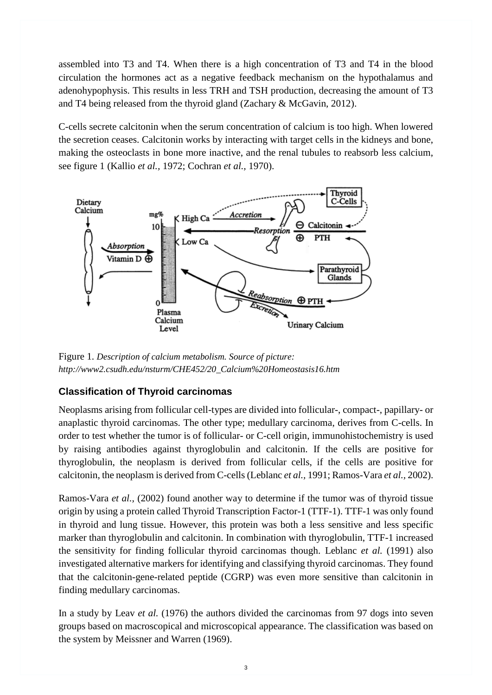assembled into T3 and T4. When there is a high concentration of T3 and T4 in the blood circulation the hormones act as a negative feedback mechanism on the hypothalamus and adenohypophysis. This results in less TRH and TSH production, decreasing the amount of T3 and T4 being released from the thyroid gland (Zachary & McGavin, 2012).

C-cells secrete calcitonin when the serum concentration of calcium is too high. When lowered the secretion ceases. Calcitonin works by interacting with target cells in the kidneys and bone, making the osteoclasts in bone more inactive, and the renal tubules to reabsorb less calcium, see figure 1 (Kallio *et al.,* 1972; Cochran *et al.,* 1970).



Figure 1. *Description of calcium metabolism. Source of picture: [http://www2.csudh.edu/nsturm/CHE452/20\\_Calcium%20Homeostasis16.htm](http://www2.csudh.edu/nsturm/CHE452/20_Calcium%20Homeostasis16.htm)*

# <span id="page-10-0"></span>**Classification of Thyroid carcinomas**

Neoplasms arising from follicular cell-types are divided into follicular-, compact-, papillary- or anaplastic thyroid carcinomas. The other type; medullary carcinoma, derives from C-cells. In order to test whether the tumor is of follicular- or C-cell origin, immunohistochemistry is used by raising antibodies against thyroglobulin and calcitonin. If the cells are positive for thyroglobulin, the neoplasm is derived from follicular cells, if the cells are positive for calcitonin, the neoplasm is derived from C-cells(Leblanc *et al.,* 1991; Ramos-Vara *et al.,* 2002).

Ramos-Vara *et al.,* (2002) found another way to determine if the tumor was of thyroid tissue origin by using a protein called Thyroid Transcription Factor-1 (TTF-1). TTF-1 was only found in thyroid and lung tissue. However, this protein was both a less sensitive and less specific marker than thyroglobulin and calcitonin. In combination with thyroglobulin, TTF-1 increased the sensitivity for finding follicular thyroid carcinomas though. Leblanc *et al.* (1991) also investigated alternative markers for identifying and classifying thyroid carcinomas. They found that the calcitonin-gene-related peptide (CGRP) was even more sensitive than calcitonin in finding medullary carcinomas.

In a study by Leav *et al.* (1976) the authors divided the carcinomas from 97 dogs into seven groups based on macroscopical and microscopical appearance. The classification was based on the system by Meissner and Warren (1969).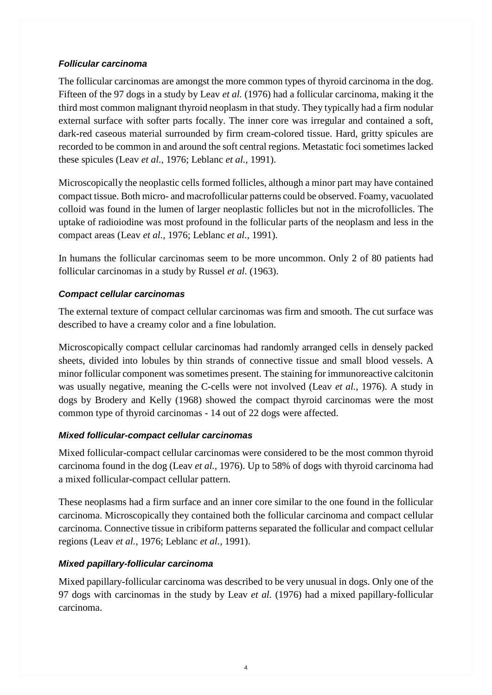### <span id="page-11-0"></span>*Follicular carcinoma*

The follicular carcinomas are amongst the more common types of thyroid carcinoma in the dog. Fifteen of the 97 dogs in a study by Leav *et al.* (1976) had a follicular carcinoma, making it the third most common malignant thyroid neoplasm in that study. They typically had a firm nodular external surface with softer parts focally. The inner core was irregular and contained a soft, dark-red caseous material surrounded by firm cream-colored tissue. Hard, gritty spicules are recorded to be common in and around the soft central regions. Metastatic foci sometimes lacked these spicules (Leav *et al.,* 1976; Leblanc *et al.,* 1991).

Microscopically the neoplastic cells formed follicles, although a minor part may have contained compact tissue. Both micro- and macrofollicular patterns could be observed. Foamy, vacuolated colloid was found in the lumen of larger neoplastic follicles but not in the microfollicles. The uptake of radioiodine was most profound in the follicular parts of the neoplasm and less in the compact areas (Leav *et al.,* 1976; Leblanc *et al.,* 1991).

In humans the follicular carcinomas seem to be more uncommon. Only 2 of 80 patients had follicular carcinomas in a study by Russel *et al.* (1963).

### <span id="page-11-1"></span>*Compact cellular carcinomas*

The external texture of compact cellular carcinomas was firm and smooth. The cut surface was described to have a creamy color and a fine lobulation.

Microscopically compact cellular carcinomas had randomly arranged cells in densely packed sheets, divided into lobules by thin strands of connective tissue and small blood vessels. A minor follicular component was sometimes present. The staining for immunoreactive calcitonin was usually negative, meaning the C-cells were not involved (Leav *et al.,* 1976). A study in dogs by Brodery and Kelly (1968) showed the compact thyroid carcinomas were the most common type of thyroid carcinomas - 14 out of 22 dogs were affected.

### <span id="page-11-2"></span>*Mixed follicular-compact cellular carcinomas*

Mixed follicular-compact cellular carcinomas were considered to be the most common thyroid carcinoma found in the dog (Leav *et al.,* 1976). Up to 58% of dogs with thyroid carcinoma had a mixed follicular-compact cellular pattern.

These neoplasms had a firm surface and an inner core similar to the one found in the follicular carcinoma. Microscopically they contained both the follicular carcinoma and compact cellular carcinoma. Connective tissue in cribiform patterns separated the follicular and compact cellular regions (Leav *et al.,* 1976; Leblanc *et al.,* 1991).

### <span id="page-11-3"></span>*Mixed papillary-follicular carcinoma*

Mixed papillary-follicular carcinoma was described to be very unusual in dogs. Only one of the 97 dogs with carcinomas in the study by Leav *et al.* (1976) had a mixed papillary-follicular carcinoma.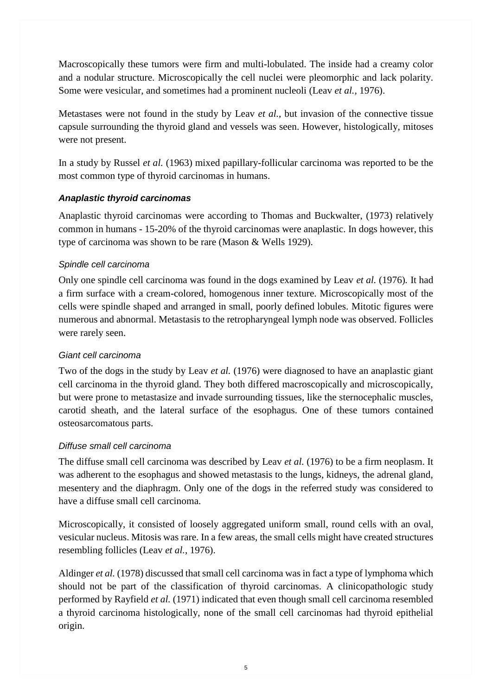Macroscopically these tumors were firm and multi-lobulated. The inside had a creamy color and a nodular structure. Microscopically the cell nuclei were pleomorphic and lack polarity. Some were vesicular, and sometimes had a prominent nucleoli (Leav *et al.,* 1976).

Metastases were not found in the study by Leav *et al.*, but invasion of the connective tissue capsule surrounding the thyroid gland and vessels was seen. However, histologically, mitoses were not present.

In a study by Russel *et al.* (1963) mixed papillary-follicular carcinoma was reported to be the most common type of thyroid carcinomas in humans.

### <span id="page-12-0"></span>*Anaplastic thyroid carcinomas*

Anaplastic thyroid carcinomas were according to Thomas and Buckwalter, (1973) relatively common in humans - 15-20% of the thyroid carcinomas were anaplastic. In dogs however, this type of carcinoma was shown to be rare (Mason & Wells 1929).

### <span id="page-12-1"></span>*Spindle cell carcinoma*

Only one spindle cell carcinoma was found in the dogs examined by Leav *et al.* (1976)*.* It had a firm surface with a cream-colored, homogenous inner texture. Microscopically most of the cells were spindle shaped and arranged in small, poorly defined lobules. Mitotic figures were numerous and abnormal. Metastasis to the retropharyngeal lymph node was observed. Follicles were rarely seen.

### <span id="page-12-2"></span>*Giant cell carcinoma*

Two of the dogs in the study by Leav *et al.* (1976) were diagnosed to have an anaplastic giant cell carcinoma in the thyroid gland. They both differed macroscopically and microscopically, but were prone to metastasize and invade surrounding tissues, like the sternocephalic muscles, carotid sheath, and the lateral surface of the esophagus. One of these tumors contained osteosarcomatous parts.

# <span id="page-12-3"></span>*Diffuse small cell carcinoma*

The diffuse small cell carcinoma was described by Leav *et al.* (1976) to be a firm neoplasm. It was adherent to the esophagus and showed metastasis to the lungs, kidneys, the adrenal gland, mesentery and the diaphragm. Only one of the dogs in the referred study was considered to have a diffuse small cell carcinoma.

Microscopically, it consisted of loosely aggregated uniform small, round cells with an oval, vesicular nucleus. Mitosis was rare. In a few areas, the small cells might have created structures resembling follicles (Leav *et al.*, 1976).

Aldinger *et al.* (1978) discussed that small cell carcinoma was in fact a type of lymphoma which should not be part of the classification of thyroid carcinomas. A clinicopathologic study performed by Rayfield *et al.* (1971) indicated that even though small cell carcinoma resembled a thyroid carcinoma histologically, none of the small cell carcinomas had thyroid epithelial origin.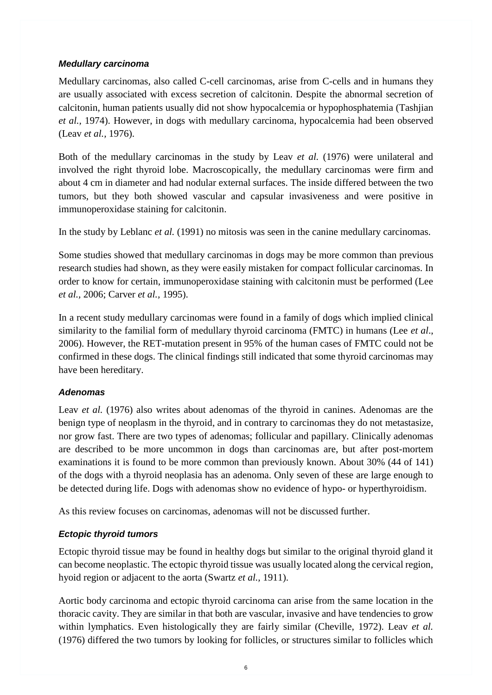### <span id="page-13-0"></span>*Medullary carcinoma*

Medullary carcinomas, also called C-cell carcinomas, arise from C-cells and in humans they are usually associated with excess secretion of calcitonin. Despite the abnormal secretion of calcitonin, human patients usually did not show hypocalcemia or hypophosphatemia (Tashjian *et al.,* 1974). However, in dogs with medullary carcinoma, hypocalcemia had been observed (Leav *et al.,* 1976).

Both of the medullary carcinomas in the study by Leav *et al.* (1976) were unilateral and involved the right thyroid lobe. Macroscopically, the medullary carcinomas were firm and about 4 cm in diameter and had nodular external surfaces. The inside differed between the two tumors, but they both showed vascular and capsular invasiveness and were positive in immunoperoxidase staining for calcitonin.

In the study by Leblanc *et al.* (1991) no mitosis was seen in the canine medullary carcinomas.

Some studies showed that medullary carcinomas in dogs may be more common than previous research studies had shown, as they were easily mistaken for compact follicular carcinomas. In order to know for certain, immunoperoxidase staining with calcitonin must be performed (Lee *et al.,* 2006; Carver *et al.,* 1995).

In a recent study medullary carcinomas were found in a family of dogs which implied clinical similarity to the familial form of medullary thyroid carcinoma (FMTC) in humans (Lee *et al*., 2006). However, the RET-mutation present in 95% of the human cases of FMTC could not be confirmed in these dogs. The clinical findings still indicated that some thyroid carcinomas may have been hereditary.

### <span id="page-13-1"></span>*Adenomas*

Leav *et al.* (1976) also writes about adenomas of the thyroid in canines. Adenomas are the benign type of neoplasm in the thyroid, and in contrary to carcinomas they do not metastasize, nor grow fast. There are two types of adenomas; follicular and papillary. Clinically adenomas are described to be more uncommon in dogs than carcinomas are, but after post-mortem examinations it is found to be more common than previously known. About 30% (44 of 141) of the dogs with a thyroid neoplasia has an adenoma. Only seven of these are large enough to be detected during life. Dogs with adenomas show no evidence of hypo- or hyperthyroidism.

As this review focuses on carcinomas, adenomas will not be discussed further.

# <span id="page-13-2"></span>*Ectopic thyroid tumors*

Ectopic thyroid tissue may be found in healthy dogs but similar to the original thyroid gland it can become neoplastic. The ectopic thyroid tissue was usually located along the cervical region, hyoid region or adjacent to the aorta (Swartz *et al.,* 1911).

Aortic body carcinoma and ectopic thyroid carcinoma can arise from the same location in the thoracic cavity. They are similar in that both are vascular, invasive and have tendencies to grow within lymphatics. Even histologically they are fairly similar (Cheville, 1972). Leav *et al.* (1976) differed the two tumors by looking for follicles, or structures similar to follicles which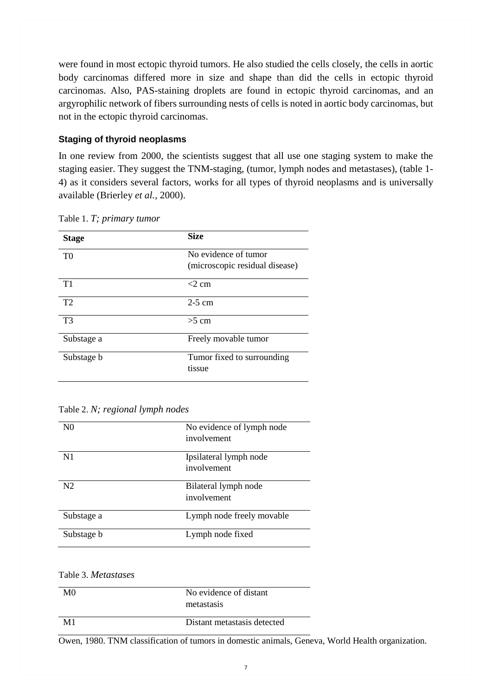were found in most ectopic thyroid tumors. He also studied the cells closely, the cells in aortic body carcinomas differed more in size and shape than did the cells in ectopic thyroid carcinomas. Also, PAS-staining droplets are found in ectopic thyroid carcinomas, and an argyrophilic network of fibers surrounding nests of cells is noted in aortic body carcinomas, but not in the ectopic thyroid carcinomas.

### <span id="page-14-0"></span>**Staging of thyroid neoplasms**

In one review from 2000, the scientists suggest that all use one staging system to make the staging easier. They suggest the TNM-staging, (tumor, lymph nodes and metastases), (table 1- 4) as it considers several factors, works for all types of thyroid neoplasms and is universally available (Brierley *et al.,* 2000).

| <b>Stage</b>   | <b>Size</b>                                            |
|----------------|--------------------------------------------------------|
| T <sub>0</sub> | No evidence of tumor<br>(microscopic residual disease) |
| T1             | $<$ 2 cm                                               |
| T2             | $2-5$ cm                                               |
| T <sub>3</sub> | $>5$ cm                                                |
| Substage a     | Freely movable tumor                                   |
| Substage b     | Tumor fixed to surrounding<br>tissue                   |

Table 1. *T; primary tumor*

#### Table 2. *N; regional lymph nodes*

| N <sub>0</sub> | No evidence of lymph node |
|----------------|---------------------------|
|                | involvement               |
| N <sub>1</sub> | Ipsilateral lymph node    |
|                | involvement               |
| N <sub>2</sub> | Bilateral lymph node      |
|                | involvement               |
| Substage a     | Lymph node freely movable |
| Substage b     | Lymph node fixed          |

#### Table 3. *Metastases*

| MO | No evidence of distant<br>metastasis |
|----|--------------------------------------|
| M1 | Distant metastasis detected          |

Owen, 1980. TNM classification of tumors in domestic animals, Geneva, World Health organization.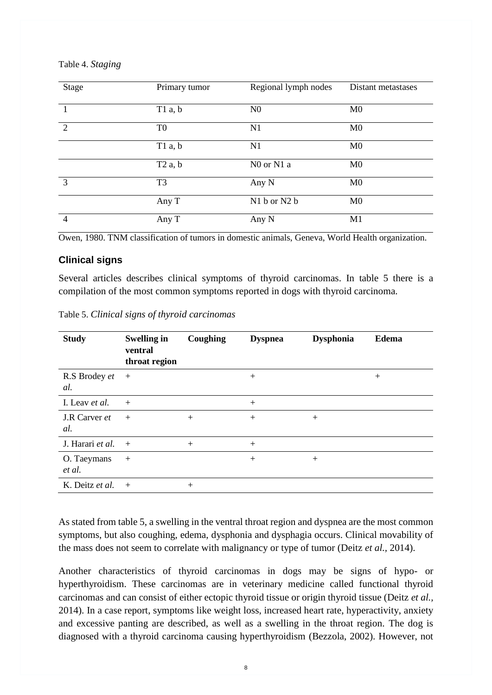Table 4. *Staging*

| Stage          | Primary tumor  | Regional lymph nodes | Distant metastases |
|----------------|----------------|----------------------|--------------------|
|                | T1a, b         | N <sub>0</sub>       | M <sub>0</sub>     |
| 2              | T <sub>0</sub> | N1                   | M <sub>0</sub>     |
|                | T1a, b         | N1                   | M <sub>0</sub>     |
|                | T2a, b         | N0 or N1 a           | M <sub>0</sub>     |
| 3              | T <sub>3</sub> | Any N                | M <sub>0</sub>     |
|                | Any T          | N1 b or N2 b         | M <sub>0</sub>     |
| $\overline{4}$ | Any T          | Any N                | M1                 |

Owen, 1980. TNM classification of tumors in domestic animals, Geneva, World Health organization.

#### <span id="page-15-0"></span>**Clinical signs**

Several articles describes clinical symptoms of thyroid carcinomas. In table 5 there is a compilation of the most common symptoms reported in dogs with thyroid carcinoma.

| <b>Study</b>          | <b>Swelling in</b><br>ventral<br>throat region | Coughing | <b>Dyspnea</b> | <b>Dysphonia</b> | <b>Edema</b> |
|-----------------------|------------------------------------------------|----------|----------------|------------------|--------------|
| R.S Brodey et<br>al.  | $+$                                            |          | $+$            |                  | $+$          |
| I. Leav et al.        | $+$                                            |          | $+$            |                  |              |
| J.R Carver et<br>al.  | $+$                                            | $+$      | $+$            | $+$              |              |
| J. Harari et al.      | $+$                                            | $+$      | $+$            |                  |              |
| O. Taeymans<br>et al. | $+$                                            |          | $+$            | $+$              |              |
| K. Deitz et al.       | $+$                                            | $+$      |                |                  |              |

Table 5. *Clinical signs of thyroid carcinomas*

As stated from table 5, a swelling in the ventral throat region and dyspnea are the most common symptoms, but also coughing, edema, dysphonia and dysphagia occurs. Clinical movability of the mass does not seem to correlate with malignancy or type of tumor (Deitz *et al.,* 2014).

Another characteristics of thyroid carcinomas in dogs may be signs of hypo- or hyperthyroidism. These carcinomas are in veterinary medicine called functional thyroid carcinomas and can consist of either ectopic thyroid tissue or origin thyroid tissue (Deitz *et al.,*  2014). In a case report, symptoms like weight loss, increased heart rate, hyperactivity, anxiety and excessive panting are described, as well as a swelling in the throat region. The dog is diagnosed with a thyroid carcinoma causing hyperthyroidism (Bezzola, 2002). However, not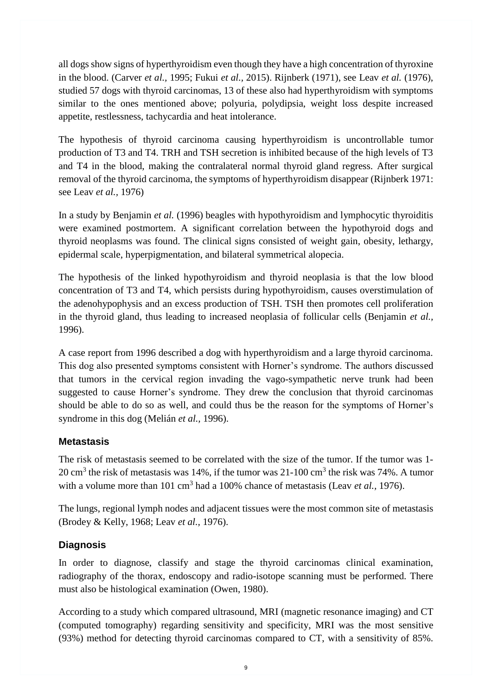all dogs show signs of hyperthyroidism even though they have a high concentration of thyroxine in the blood. (Carver *et al.,* 1995; Fukui *et al.,* 2015). Rijnberk (1971), see Leav *et al.* (1976), studied 57 dogs with thyroid carcinomas, 13 of these also had hyperthyroidism with symptoms similar to the ones mentioned above; polyuria, polydipsia, weight loss despite increased appetite, restlessness, tachycardia and heat intolerance.

The hypothesis of thyroid carcinoma causing hyperthyroidism is uncontrollable tumor production of T3 and T4. TRH and TSH secretion is inhibited because of the high levels of T3 and T4 in the blood, making the contralateral normal thyroid gland regress. After surgical removal of the thyroid carcinoma, the symptoms of hyperthyroidism disappear (Rijnberk 1971: see Leav *et al.,* 1976)

In a study by Benjamin *et al.* (1996) beagles with hypothyroidism and lymphocytic thyroiditis were examined postmortem. A significant correlation between the hypothyroid dogs and thyroid neoplasms was found. The clinical signs consisted of weight gain, obesity, lethargy, epidermal scale, hyperpigmentation, and bilateral symmetrical alopecia.

The hypothesis of the linked hypothyroidism and thyroid neoplasia is that the low blood concentration of T3 and T4, which persists during hypothyroidism, causes overstimulation of the adenohypophysis and an excess production of TSH. TSH then promotes cell proliferation in the thyroid gland, thus leading to increased neoplasia of follicular cells (Benjamin *et al.,* 1996).

A case report from 1996 described a dog with hyperthyroidism and a large thyroid carcinoma. This dog also presented symptoms consistent with Horner's syndrome. The authors discussed that tumors in the cervical region invading the vago-sympathetic nerve trunk had been suggested to cause Horner's syndrome. They drew the conclusion that thyroid carcinomas should be able to do so as well, and could thus be the reason for the symptoms of Horner's syndrome in this dog (Melián *et al.,* 1996).

# <span id="page-16-0"></span>**Metastasis**

The risk of metastasis seemed to be correlated with the size of the tumor. If the tumor was 1- 20 cm<sup>3</sup> the risk of metastasis was 14%, if the tumor was 21-100 cm<sup>3</sup> the risk was 74%. A tumor with a volume more than 101 cm<sup>3</sup> had a 100% chance of metastasis (Leav *et al.*, 1976).

The lungs, regional lymph nodes and adjacent tissues were the most common site of metastasis (Brodey & Kelly, 1968; Leav *et al.,* 1976).

# <span id="page-16-1"></span>**Diagnosis**

In order to diagnose, classify and stage the thyroid carcinomas clinical examination, radiography of the thorax, endoscopy and radio-isotope scanning must be performed. There must also be histological examination (Owen, 1980).

According to a study which compared ultrasound, MRI (magnetic resonance imaging) and CT (computed tomography) regarding sensitivity and specificity, MRI was the most sensitive (93%) method for detecting thyroid carcinomas compared to CT, with a sensitivity of 85%.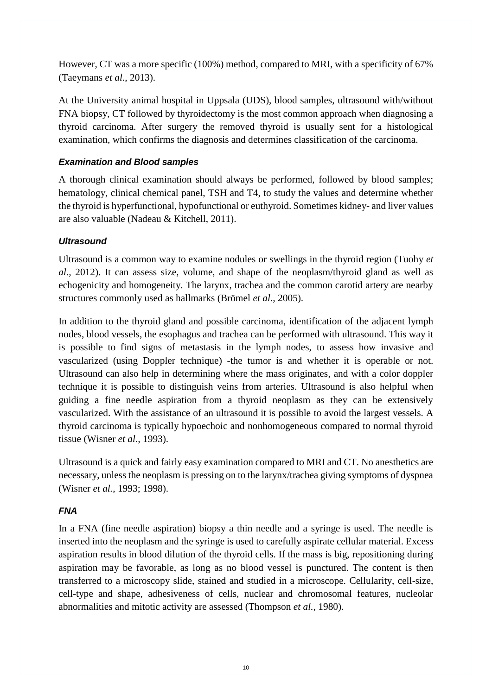However, CT was a more specific (100%) method, compared to MRI, with a specificity of 67% (Taeymans *et al.*, 2013).

At the University animal hospital in Uppsala (UDS), blood samples, ultrasound with/without FNA biopsy, CT followed by thyroidectomy is the most common approach when diagnosing a thyroid carcinoma. After surgery the removed thyroid is usually sent for a histological examination, which confirms the diagnosis and determines classification of the carcinoma.

# <span id="page-17-0"></span>*Examination and Blood samples*

A thorough clinical examination should always be performed, followed by blood samples; hematology, clinical chemical panel, TSH and T4, to study the values and determine whether the thyroid is hyperfunctional, hypofunctional or euthyroid. Sometimes kidney- and liver values are also valuable (Nadeau & Kitchell, 2011).

# <span id="page-17-1"></span>*Ultrasound*

Ultrasound is a common way to examine nodules or swellings in the thyroid region (Tuohy *et al.,* 2012). It can assess size, volume, and shape of the neoplasm/thyroid gland as well as echogenicity and homogeneity. The larynx, trachea and the common carotid artery are nearby structures commonly used as hallmarks (Brömel *et al.,* 2005).

In addition to the thyroid gland and possible carcinoma, identification of the adjacent lymph nodes, blood vessels, the esophagus and trachea can be performed with ultrasound. This way it is possible to find signs of metastasis in the lymph nodes, to assess how invasive and vascularized (using Doppler technique) -the tumor is and whether it is operable or not. Ultrasound can also help in determining where the mass originates, and with a color doppler technique it is possible to distinguish veins from arteries. Ultrasound is also helpful when guiding a fine needle aspiration from a thyroid neoplasm as they can be extensively vascularized. With the assistance of an ultrasound it is possible to avoid the largest vessels. A thyroid carcinoma is typically hypoechoic and nonhomogeneous compared to normal thyroid tissue (Wisner *et al.,* 1993).

Ultrasound is a quick and fairly easy examination compared to MRI and CT. No anesthetics are necessary, unless the neoplasm is pressing on to the larynx/trachea giving symptoms of dyspnea (Wisner *et al.*, 1993; 1998).

# <span id="page-17-2"></span>*FNA*

In a FNA (fine needle aspiration) biopsy a thin needle and a syringe is used. The needle is inserted into the neoplasm and the syringe is used to carefully aspirate cellular material. Excess aspiration results in blood dilution of the thyroid cells. If the mass is big, repositioning during aspiration may be favorable, as long as no blood vessel is punctured. The content is then transferred to a microscopy slide, stained and studied in a microscope. Cellularity, cell-size, cell-type and shape, adhesiveness of cells, nuclear and chromosomal features, nucleolar abnormalities and mitotic activity are assessed (Thompson *et al.,* 1980).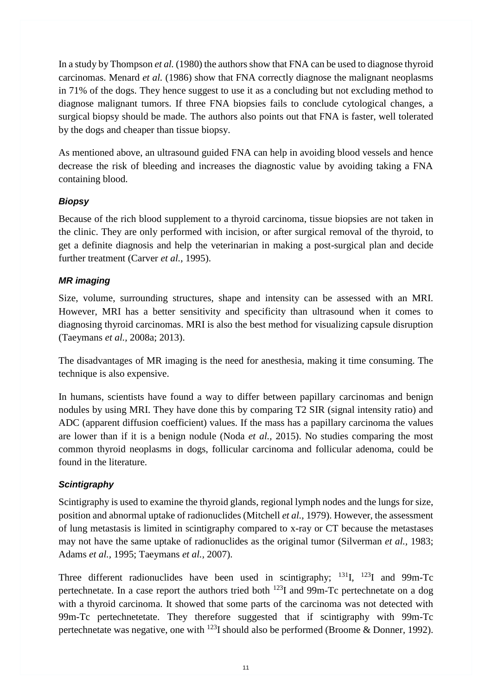In a study by Thompson *et al.* (1980) the authors show that FNA can be used to diagnose thyroid carcinomas. Menard *et al.* (1986) show that FNA correctly diagnose the malignant neoplasms in 71% of the dogs. They hence suggest to use it as a concluding but not excluding method to diagnose malignant tumors. If three FNA biopsies fails to conclude cytological changes, a surgical biopsy should be made. The authors also points out that FNA is faster, well tolerated by the dogs and cheaper than tissue biopsy.

As mentioned above, an ultrasound guided FNA can help in avoiding blood vessels and hence decrease the risk of bleeding and increases the diagnostic value by avoiding taking a FNA containing blood.

### <span id="page-18-0"></span>*Biopsy*

Because of the rich blood supplement to a thyroid carcinoma, tissue biopsies are not taken in the clinic. They are only performed with incision, or after surgical removal of the thyroid, to get a definite diagnosis and help the veterinarian in making a post-surgical plan and decide further treatment (Carver *et al.*, 1995).

# <span id="page-18-1"></span>*MR imaging*

Size, volume, surrounding structures, shape and intensity can be assessed with an MRI. However, MRI has a better sensitivity and specificity than ultrasound when it comes to diagnosing thyroid carcinomas. MRI is also the best method for visualizing capsule disruption (Taeymans *et al.,* 2008a; 2013).

The disadvantages of MR imaging is the need for anesthesia, making it time consuming. The technique is also expensive.

In humans, scientists have found a way to differ between papillary carcinomas and benign nodules by using MRI. They have done this by comparing T2 SIR (signal intensity ratio) and ADC (apparent diffusion coefficient) values. If the mass has a papillary carcinoma the values are lower than if it is a benign nodule (Noda *et al.,* 2015). No studies comparing the most common thyroid neoplasms in dogs, follicular carcinoma and follicular adenoma, could be found in the literature.

# <span id="page-18-2"></span>*Scintigraphy*

Scintigraphy is used to examine the thyroid glands, regional lymph nodes and the lungs for size, position and abnormal uptake of radionuclides (Mitchell *et al.,* 1979). However, the assessment of lung metastasis is limited in scintigraphy compared to x-ray or CT because the metastases may not have the same uptake of radionuclides as the original tumor (Silverman *et al.,* 1983; Adams *et al.,* 1995; Taeymans *et al.,* 2007).

Three different radionuclides have been used in scintigraphy;  $^{131}I$ ,  $^{123}I$  and 99m-Tc pertechnetate. In a case report the authors tried both <sup>123</sup>I and 99m-Tc pertechnetate on a dog with a thyroid carcinoma. It showed that some parts of the carcinoma was not detected with 99m-Tc pertechnetetate. They therefore suggested that if scintigraphy with 99m-Tc pertechnetate was negative, one with <sup>123</sup>I should also be performed (Broome & Donner*,* 1992).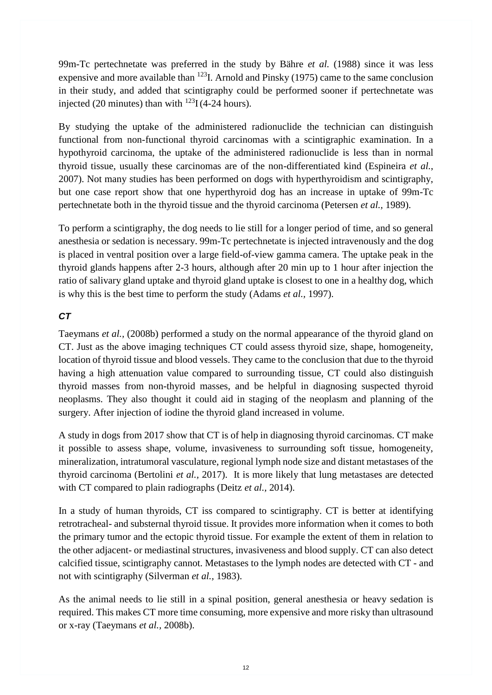99m-Tc pertechnetate was preferred in the study by Bähre *et al.* (1988) since it was less expensive and more available than  $^{123}$ I. Arnold and Pinsky (1975) came to the same conclusion in their study, and added that scintigraphy could be performed sooner if pertechnetate was injected (20 minutes) than with  $^{123}I(4-24$  hours).

By studying the uptake of the administered radionuclide the technician can distinguish functional from non-functional thyroid carcinomas with a scintigraphic examination. In a hypothyroid carcinoma, the uptake of the administered radionuclide is less than in normal thyroid tissue, usually these carcinomas are of the non-differentiated kind (Espineira *et al.*, 2007). Not many studies has been performed on dogs with hyperthyroidism and scintigraphy, but one case report show that one hyperthyroid dog has an increase in uptake of 99m-Tc pertechnetate both in the thyroid tissue and the thyroid carcinoma (Petersen *et al.,* 1989).

To perform a scintigraphy, the dog needs to lie still for a longer period of time, and so general anesthesia or sedation is necessary. 99m-Tc pertechnetate is injected intravenously and the dog is placed in ventral position over a large field-of-view gamma camera. The uptake peak in the thyroid glands happens after 2-3 hours, although after 20 min up to 1 hour after injection the ratio of salivary gland uptake and thyroid gland uptake is closest to one in a healthy dog, which is why this is the best time to perform the study (Adams *et al.,* 1997).

# <span id="page-19-0"></span>*CT*

Taeymans *et al.,* (2008b) performed a study on the normal appearance of the thyroid gland on CT. Just as the above imaging techniques CT could assess thyroid size, shape, homogeneity, location of thyroid tissue and blood vessels. They came to the conclusion that due to the thyroid having a high attenuation value compared to surrounding tissue, CT could also distinguish thyroid masses from non-thyroid masses, and be helpful in diagnosing suspected thyroid neoplasms. They also thought it could aid in staging of the neoplasm and planning of the surgery. After injection of iodine the thyroid gland increased in volume.

A study in dogs from 2017 show that CT is of help in diagnosing thyroid carcinomas. CT make it possible to assess shape, volume, invasiveness to surrounding soft tissue, homogeneity, mineralization, intratumoral vasculature, regional lymph node size and distant metastases of the thyroid carcinoma (Bertolini *et al.,* 2017). It is more likely that lung metastases are detected with CT compared to plain radiographs (Deitz *et al.,* 2014).

In a study of human thyroids, CT iss compared to scintigraphy. CT is better at identifying retrotracheal- and substernal thyroid tissue. It provides more information when it comes to both the primary tumor and the ectopic thyroid tissue. For example the extent of them in relation to the other adjacent- or mediastinal structures, invasiveness and blood supply. CT can also detect calcified tissue, scintigraphy cannot. Metastases to the lymph nodes are detected with CT - and not with scintigraphy (Silverman *et al.,* 1983).

As the animal needs to lie still in a spinal position, general anesthesia or heavy sedation is required. This makes CT more time consuming, more expensive and more risky than ultrasound or x-ray (Taeymans *et al.,* 2008b).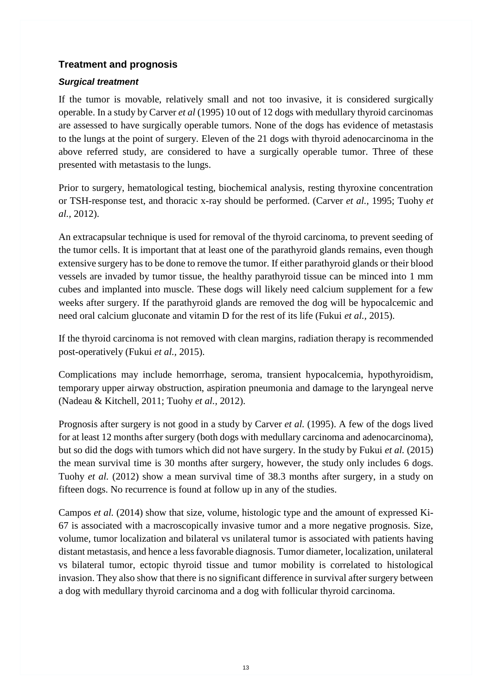# <span id="page-20-0"></span>**Treatment and prognosis**

### <span id="page-20-1"></span>*Surgical treatment*

If the tumor is movable, relatively small and not too invasive, it is considered surgically operable. In a study by Carver *et al* (1995) 10 out of 12 dogs with medullary thyroid carcinomas are assessed to have surgically operable tumors. None of the dogs has evidence of metastasis to the lungs at the point of surgery. Eleven of the 21 dogs with thyroid adenocarcinoma in the above referred study, are considered to have a surgically operable tumor. Three of these presented with metastasis to the lungs.

Prior to surgery, hematological testing, biochemical analysis, resting thyroxine concentration or TSH-response test, and thoracic x-ray should be performed. (Carver *et al.,* 1995; Tuohy *et al.,* 2012).

An extracapsular technique is used for removal of the thyroid carcinoma, to prevent seeding of the tumor cells. It is important that at least one of the parathyroid glands remains, even though extensive surgery has to be done to remove the tumor. If either parathyroid glands or their blood vessels are invaded by tumor tissue, the healthy parathyroid tissue can be minced into 1 mm cubes and implanted into muscle. These dogs will likely need calcium supplement for a few weeks after surgery. If the parathyroid glands are removed the dog will be hypocalcemic and need oral calcium gluconate and vitamin D for the rest of its life (Fukui *et al.,* 2015).

If the thyroid carcinoma is not removed with clean margins, radiation therapy is recommended post-operatively (Fukui *et al.,* 2015).

Complications may include hemorrhage, seroma, transient hypocalcemia, hypothyroidism, temporary upper airway obstruction, aspiration pneumonia and damage to the laryngeal nerve (Nadeau & Kitchell, 2011; Tuohy *et al.,* 2012).

Prognosis after surgery is not good in a study by Carver *et al.* (1995). A few of the dogs lived for at least 12 months after surgery (both dogs with medullary carcinoma and adenocarcinoma), but so did the dogs with tumors which did not have surgery. In the study by Fukui *et al.* (2015) the mean survival time is 30 months after surgery, however, the study only includes 6 dogs. Tuohy *et al.* (2012) show a mean survival time of 38.3 months after surgery, in a study on fifteen dogs. No recurrence is found at follow up in any of the studies.

<span id="page-20-2"></span>Campos *et al.* (2014) show that size, volume, histologic type and the amount of expressed Ki-67 is associated with a macroscopically invasive tumor and a more negative prognosis. Size, volume, tumor localization and bilateral vs unilateral tumor is associated with patients having distant metastasis, and hence a less favorable diagnosis. Tumor diameter, localization, unilateral vs bilateral tumor, ectopic thyroid tissue and tumor mobility is correlated to histological invasion. They also show that there is no significant difference in survival after surgery between a dog with medullary thyroid carcinoma and a dog with follicular thyroid carcinoma.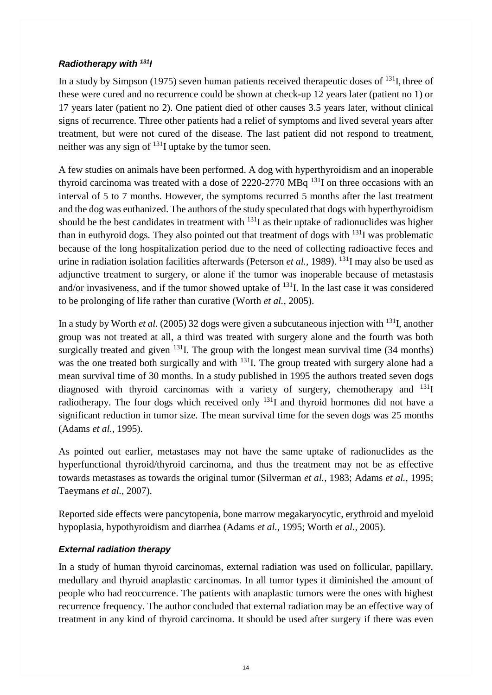### *Radiotherapy with <sup>131</sup>I*

In a study by Simpson (1975) seven human patients received therapeutic doses of  $^{131}$ , three of these were cured and no recurrence could be shown at check-up 12 years later (patient no 1) or 17 years later (patient no 2). One patient died of other causes 3.5 years later, without clinical signs of recurrence. Three other patients had a relief of symptoms and lived several years after treatment, but were not cured of the disease. The last patient did not respond to treatment, neither was any sign of  $131$  uptake by the tumor seen.

A few studies on animals have been performed. A dog with hyperthyroidism and an inoperable thyroid carcinoma was treated with a dose of  $2220-2770$  MBq  $^{131}$ I on three occasions with an interval of 5 to 7 months. However, the symptoms recurred 5 months after the last treatment and the dog was euthanized. The authors of the study speculated that dogs with hyperthyroidism should be the best candidates in treatment with  $^{131}$ I as their uptake of radionuclides was higher than in euthyroid dogs. They also pointed out that treatment of dogs with  $^{131}I$  was problematic because of the long hospitalization period due to the need of collecting radioactive feces and urine in radiation isolation facilities afterwards (Peterson *et al.,* 1989). <sup>131</sup>I may also be used as adjunctive treatment to surgery, or alone if the tumor was inoperable because of metastasis and/or invasiveness, and if the tumor showed uptake of  $^{131}$ . In the last case it was considered to be prolonging of life rather than curative (Worth *et al.,* 2005).

In a study by Worth *et al.* (2005) 32 dogs were given a subcutaneous injection with <sup>131</sup>I, another group was not treated at all, a third was treated with surgery alone and the fourth was both surgically treated and given  $^{131}$ . The group with the longest mean survival time (34 months) was the one treated both surgically and with <sup>131</sup>I. The group treated with surgery alone had a mean survival time of 30 months. In a study published in 1995 the authors treated seven dogs diagnosed with thyroid carcinomas with a variety of surgery, chemotherapy and  $^{131}I$ radiotherapy. The four dogs which received only  $^{131}$ I and thyroid hormones did not have a significant reduction in tumor size. The mean survival time for the seven dogs was 25 months (Adams *et al.,* 1995).

As pointed out earlier, metastases may not have the same uptake of radionuclides as the hyperfunctional thyroid/thyroid carcinoma, and thus the treatment may not be as effective towards metastases as towards the original tumor (Silverman *et al.,* 1983; Adams *et al.,* 1995; Taeymans *et al.,* 2007).

Reported side effects were pancytopenia, bone marrow megakaryocytic, erythroid and myeloid hypoplasia, hypothyroidism and diarrhea (Adams *et al.,* 1995; Worth *et al.,* 2005).

# <span id="page-21-0"></span>*External radiation therapy*

In a study of human thyroid carcinomas, external radiation was used on follicular, papillary, medullary and thyroid anaplastic carcinomas. In all tumor types it diminished the amount of people who had reoccurrence. The patients with anaplastic tumors were the ones with highest recurrence frequency. The author concluded that external radiation may be an effective way of treatment in any kind of thyroid carcinoma. It should be used after surgery if there was even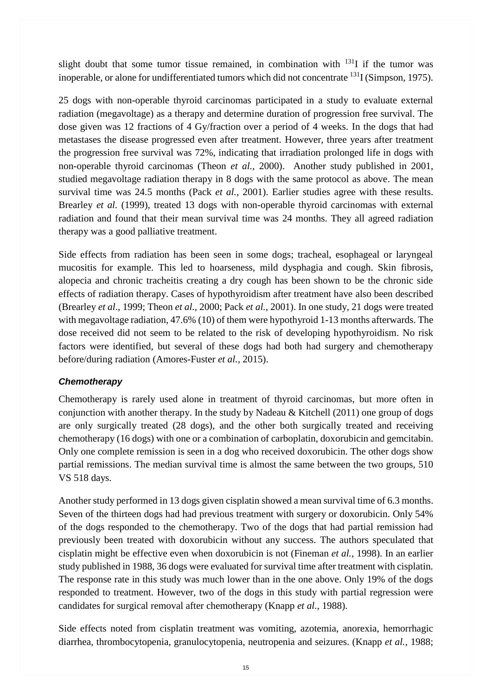slight doubt that some tumor tissue remained, in combination with  $^{131}I$  if the tumor was inoperable, or alone for undifferentiated tumors which did not concentrate  $^{131}$  (Simpson, 1975).

25 dogs with non-operable thyroid carcinomas participated in a study to evaluate external radiation (megavoltage) as a therapy and determine duration of progression free survival. The dose given was 12 fractions of 4 Gy/fraction over a period of 4 weeks. In the dogs that had metastases the disease progressed even after treatment. However, three years after treatment the progression free survival was 72%, indicating that irradiation prolonged life in dogs with non-operable thyroid carcinomas (Theon *et al.,* 2000). Another study published in 2001, studied megavoltage radiation therapy in 8 dogs with the same protocol as above. The mean survival time was 24.5 months (Pack *et al.,* 2001). Earlier studies agree with these results. Brearley *et al.* (1999), treated 13 dogs with non-operable thyroid carcinomas with external radiation and found that their mean survival time was 24 months. They all agreed radiation therapy was a good palliative treatment.

Side effects from radiation has been seen in some dogs; tracheal, esophageal or laryngeal mucositis for example. This led to hoarseness, mild dysphagia and cough. Skin fibrosis, alopecia and chronic tracheitis creating a dry cough has been shown to be the chronic side effects of radiation therapy. Cases of hypothyroidism after treatment have also been described (Brearley *et al*., 1999; Theon *et al.,* 2000; Pack *et al.,* 2001). In one study, 21 dogs were treated with megavoltage radiation, 47.6% (10) of them were hypothyroid 1-13 months afterwards. The dose received did not seem to be related to the risk of developing hypothyroidism. No risk factors were identified, but several of these dogs had both had surgery and chemotherapy before/during radiation (Amores-Fuster *et al.,* 2015).

### <span id="page-22-0"></span>*Chemotherapy*

Chemotherapy is rarely used alone in treatment of thyroid carcinomas, but more often in conjunction with another therapy. In the study by Nadeau & Kitchell (2011) one group of dogs are only surgically treated (28 dogs), and the other both surgically treated and receiving chemotherapy (16 dogs) with one or a combination of carboplatin, doxorubicin and gemcitabin. Only one complete remission is seen in a dog who received doxorubicin. The other dogs show partial remissions. The median survival time is almost the same between the two groups, 510 VS 518 days.

Another study performed in 13 dogs given cisplatin showed a mean survival time of 6.3 months. Seven of the thirteen dogs had had previous treatment with surgery or doxorubicin. Only 54% of the dogs responded to the chemotherapy. Two of the dogs that had partial remission had previously been treated with doxorubicin without any success. The authors speculated that cisplatin might be effective even when doxorubicin is not (Fineman *et al.*, 1998). In an earlier study published in 1988, 36 dogs were evaluated for survival time after treatment with cisplatin. The response rate in this study was much lower than in the one above. Only 19% of the dogs responded to treatment. However, two of the dogs in this study with partial regression were candidates for surgical removal after chemotherapy (Knapp *et al.*, 1988).

Side effects noted from cisplatin treatment was vomiting, azotemia, anorexia, hemorrhagic diarrhea, thrombocytopenia, granulocytopenia, neutropenia and seizures. (Knapp *et al.,* 1988;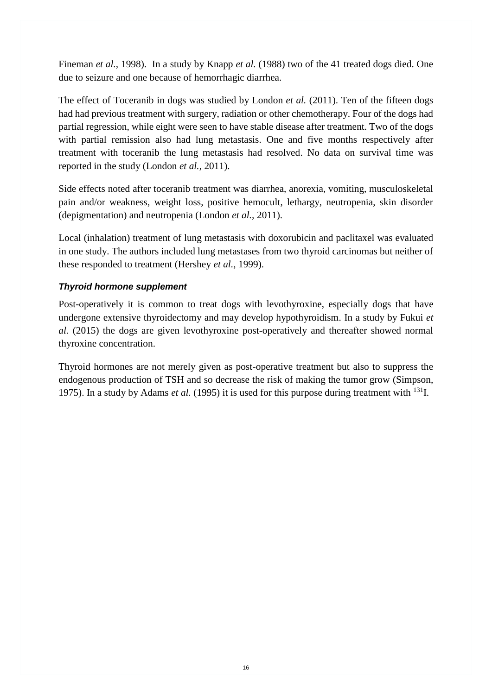Fineman *et al.,* 1998). In a study by Knapp *et al.* (1988) two of the 41 treated dogs died. One due to seizure and one because of hemorrhagic diarrhea.

The effect of Toceranib in dogs was studied by London *et al.* (2011). Ten of the fifteen dogs had had previous treatment with surgery, radiation or other chemotherapy. Four of the dogs had partial regression, while eight were seen to have stable disease after treatment. Two of the dogs with partial remission also had lung metastasis. One and five months respectively after treatment with toceranib the lung metastasis had resolved. No data on survival time was reported in the study (London *et al.,* 2011).

Side effects noted after toceranib treatment was diarrhea, anorexia, vomiting, musculoskeletal pain and/or weakness, weight loss, positive hemocult, lethargy, neutropenia, skin disorder (depigmentation) and neutropenia (London *et al.,* 2011).

Local (inhalation) treatment of lung metastasis with doxorubicin and paclitaxel was evaluated in one study. The authors included lung metastases from two thyroid carcinomas but neither of these responded to treatment (Hershey *et al.,* 1999).

### <span id="page-23-0"></span>*Thyroid hormone supplement*

Post-operatively it is common to treat dogs with levothyroxine, especially dogs that have undergone extensive thyroidectomy and may develop hypothyroidism. In a study by Fukui *et al.* (2015) the dogs are given levothyroxine post-operatively and thereafter showed normal thyroxine concentration.

<span id="page-23-1"></span>Thyroid hormones are not merely given as post-operative treatment but also to suppress the endogenous production of TSH and so decrease the risk of making the tumor grow (Simpson, 1975). In a study by Adams *et al.* (1995) it is used for this purpose during treatment with <sup>131</sup>I.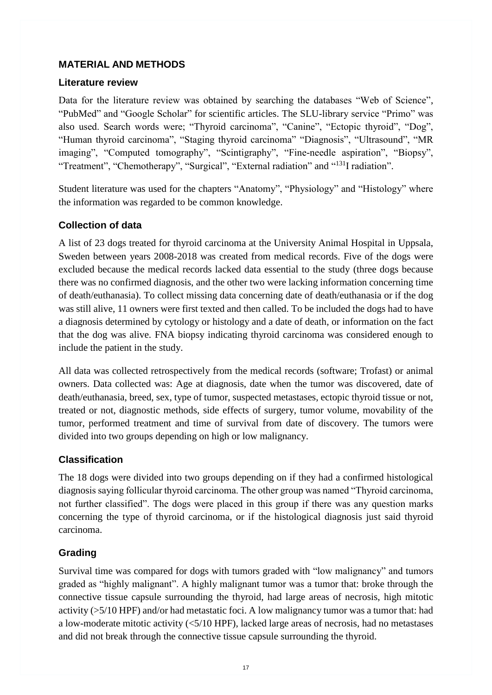### **MATERIAL AND METHODS**

#### <span id="page-24-0"></span>**Literature review**

Data for the literature review was obtained by searching the databases "Web of Science", "PubMed" and "Google Scholar" for scientific articles. The SLU-library service "Primo" was also used. Search words were; "Thyroid carcinoma", "Canine", "Ectopic thyroid", "Dog", "Human thyroid carcinoma", "Staging thyroid carcinoma" "Diagnosis", "Ultrasound", "MR imaging", "Computed tomography", "Scintigraphy", "Fine-needle aspiration", "Biopsy", "Treatment", "Chemotherapy", "Surgical", "External radiation" and "<sup>131</sup>I radiation".

Student literature was used for the chapters "Anatomy", "Physiology" and "Histology" where the information was regarded to be common knowledge.

# <span id="page-24-1"></span>**Collection of data**

A list of 23 dogs treated for thyroid carcinoma at the University Animal Hospital in Uppsala, Sweden between years 2008-2018 was created from medical records. Five of the dogs were excluded because the medical records lacked data essential to the study (three dogs because there was no confirmed diagnosis, and the other two were lacking information concerning time of death/euthanasia). To collect missing data concerning date of death/euthanasia or if the dog was still alive, 11 owners were first texted and then called. To be included the dogs had to have a diagnosis determined by cytology or histology and a date of death, or information on the fact that the dog was alive. FNA biopsy indicating thyroid carcinoma was considered enough to include the patient in the study.

All data was collected retrospectively from the medical records (software; Trofast) or animal owners. Data collected was: Age at diagnosis, date when the tumor was discovered, date of death/euthanasia, breed, sex, type of tumor, suspected metastases, ectopic thyroid tissue or not, treated or not, diagnostic methods, side effects of surgery, tumor volume, movability of the tumor, performed treatment and time of survival from date of discovery. The tumors were divided into two groups depending on high or low malignancy.

# <span id="page-24-2"></span>**Classification**

The 18 dogs were divided into two groups depending on if they had a confirmed histological diagnosis saying follicular thyroid carcinoma. The other group was named "Thyroid carcinoma, not further classified". The dogs were placed in this group if there was any question marks concerning the type of thyroid carcinoma, or if the histological diagnosis just said thyroid carcinoma.

# <span id="page-24-3"></span>**Grading**

Survival time was compared for dogs with tumors graded with "low malignancy" and tumors graded as "highly malignant". A highly malignant tumor was a tumor that: broke through the connective tissue capsule surrounding the thyroid, had large areas of necrosis, high mitotic activity (>5/10 HPF) and/or had metastatic foci. A low malignancy tumor was a tumor that: had a low-moderate mitotic activity (<5/10 HPF), lacked large areas of necrosis, had no metastases and did not break through the connective tissue capsule surrounding the thyroid.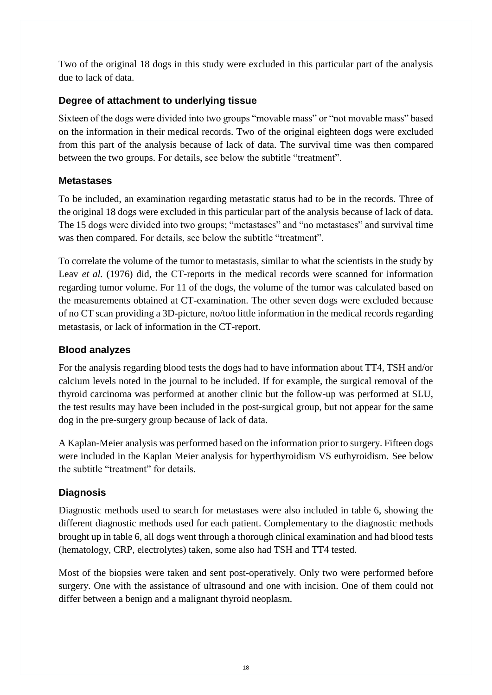Two of the original 18 dogs in this study were excluded in this particular part of the analysis due to lack of data.

# <span id="page-25-0"></span>**Degree of attachment to underlying tissue**

Sixteen of the dogs were divided into two groups "movable mass" or "not movable mass" based on the information in their medical records. Two of the original eighteen dogs were excluded from this part of the analysis because of lack of data. The survival time was then compared between the two groups. For details, see below the subtitle "treatment".

# <span id="page-25-1"></span>**Metastases**

To be included, an examination regarding metastatic status had to be in the records. Three of the original 18 dogs were excluded in this particular part of the analysis because of lack of data. The 15 dogs were divided into two groups; "metastases" and "no metastases" and survival time was then compared. For details, see below the subtitle "treatment".

To correlate the volume of the tumor to metastasis, similar to what the scientists in the study by Leav *et al.* (1976) did, the CT-reports in the medical records were scanned for information regarding tumor volume. For 11 of the dogs, the volume of the tumor was calculated based on the measurements obtained at CT-examination. The other seven dogs were excluded because of no CT scan providing a 3D-picture, no/too little information in the medical records regarding metastasis, or lack of information in the CT-report.

# <span id="page-25-2"></span>**Blood analyzes**

For the analysis regarding blood tests the dogs had to have information about TT4, TSH and/or calcium levels noted in the journal to be included. If for example, the surgical removal of the thyroid carcinoma was performed at another clinic but the follow-up was performed at SLU, the test results may have been included in the post-surgical group, but not appear for the same dog in the pre-surgery group because of lack of data.

A Kaplan-Meier analysis was performed based on the information prior to surgery. Fifteen dogs were included in the Kaplan Meier analysis for hyperthyroidism VS euthyroidism. See below the subtitle "treatment" for details.

# <span id="page-25-3"></span>**Diagnosis**

Diagnostic methods used to search for metastases were also included in table 6, showing the different diagnostic methods used for each patient. Complementary to the diagnostic methods brought up in table 6, all dogs went through a thorough clinical examination and had blood tests (hematology, CRP, electrolytes) taken, some also had TSH and TT4 tested.

Most of the biopsies were taken and sent post-operatively. Only two were performed before surgery. One with the assistance of ultrasound and one with incision. One of them could not differ between a benign and a malignant thyroid neoplasm.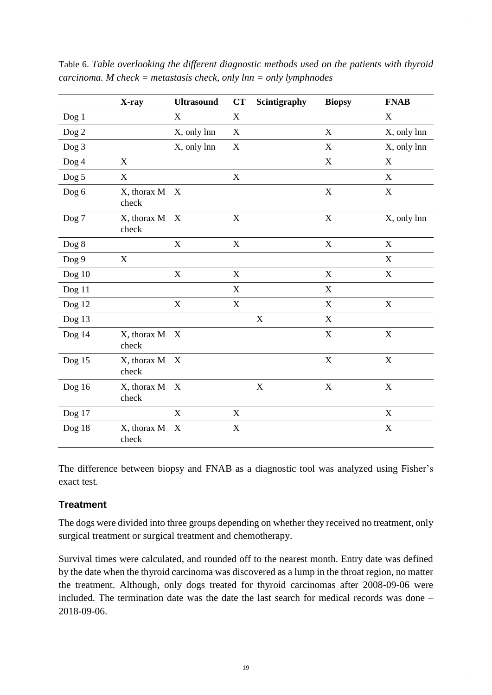|                  | X-ray                | <b>Ultrasound</b>         | <b>CT</b>                 | Scintigraphy | <b>Biopsy</b> | <b>FNAB</b>               |
|------------------|----------------------|---------------------------|---------------------------|--------------|---------------|---------------------------|
| Dog1             |                      | $\mathbf X$               | $\boldsymbol{\mathrm{X}}$ |              |               | $\mathbf X$               |
| Dog <sub>2</sub> |                      | X, only lnn               | $\boldsymbol{\mathrm{X}}$ |              | $\mathbf X$   | X, only lnn               |
| Dog <sub>3</sub> |                      | X, only lnn               | X                         |              | $\mathbf X$   | X, only lnn               |
| Dog 4            | $\mathbf X$          |                           |                           |              | $\mathbf X$   | $\mathbf X$               |
| Dog 5            | $\mathbf X$          |                           | $\mathbf X$               |              |               | X                         |
| Dog 6            | X, thorax M<br>check | X                         |                           |              | $\mathbf X$   | $\boldsymbol{\mathrm{X}}$ |
| Dog 7            | X, thorax M<br>check | X                         | $\mathbf X$               |              | $\mathbf X$   | X, only lnn               |
| Dog 8            |                      | $\mathbf X$               | $\mathbf X$               |              | $\mathbf X$   | $\mathbf X$               |
| Dog 9            | X                    |                           |                           |              |               | X                         |
| Dog 10           |                      | $\mathbf X$               | $\mathbf X$               |              | $\mathbf X$   | $\mathbf X$               |
| Dog 11           |                      |                           | $\mathbf X$               |              | $\mathbf X$   |                           |
| Dog 12           |                      | $\boldsymbol{\mathrm{X}}$ | $\boldsymbol{\mathrm{X}}$ |              | X             | $\mathbf X$               |
| Dog 13           |                      |                           |                           | $\mathbf X$  | $\mathbf X$   |                           |
| Dog 14           | X, thorax M<br>check | X                         |                           |              | $\mathbf X$   | $\mathbf X$               |
| Dog 15           | X, thorax M<br>check | X                         |                           |              | $\mathbf X$   | $\mathbf X$               |
| Dog $16$         | X, thorax M<br>check | X                         |                           | $\mathbf X$  | $\mathbf X$   | $\mathbf X$               |
| Dog 17           |                      | $\mathbf X$               | $\mathbf X$               |              |               | $\mathbf X$               |
| Dog 18           | X, thorax M<br>check | X                         | $\mathbf X$               |              |               | $\mathbf X$               |

Table 6. *Table overlooking the different diagnostic methods used on the patients with thyroid carcinoma. M check = metastasis check, only lnn = only lymphnodes*

The difference between biopsy and FNAB as a diagnostic tool was analyzed using Fisher's exact test.

# <span id="page-26-0"></span>**Treatment**

The dogs were divided into three groups depending on whether they received no treatment, only surgical treatment or surgical treatment and chemotherapy.

Survival times were calculated, and rounded off to the nearest month. Entry date was defined by the date when the thyroid carcinoma was discovered as a lump in the throat region, no matter the treatment. Although, only dogs treated for thyroid carcinomas after 2008-09-06 were included. The termination date was the date the last search for medical records was done – 2018-09-06.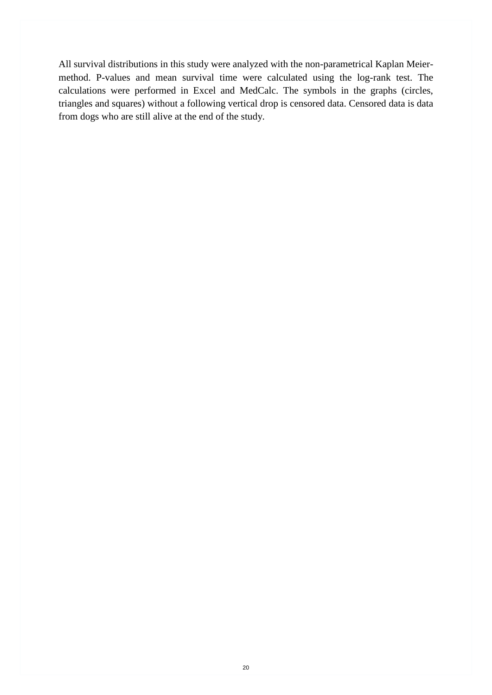All survival distributions in this study were analyzed with the non-parametrical Kaplan Meiermethod. P-values and mean survival time were calculated using the log-rank test. The calculations were performed in Excel and MedCalc. The symbols in the graphs (circles, triangles and squares) without a following vertical drop is censored data. Censored data is data from dogs who are still alive at the end of the study*.*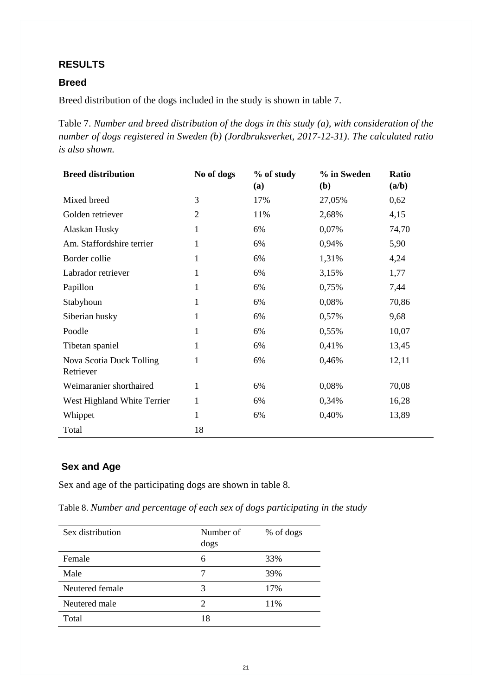### <span id="page-28-0"></span>**RESULTS**

### <span id="page-28-1"></span>**Breed**

Breed distribution of the dogs included in the study is shown in table 7.

Table 7. *Number and breed distribution of the dogs in this study (a), with consideration of the number of dogs registered in Sweden (b) (Jordbruksverket, 2017-12-31)*. *The calculated ratio is also shown.*

| <b>Breed distribution</b>             | No of dogs     | % of study<br>(a) | % in Sweden<br>( <b>b</b> ) | <b>Ratio</b><br>(a/b) |
|---------------------------------------|----------------|-------------------|-----------------------------|-----------------------|
| Mixed breed                           | 3              | 17%               | 27,05%                      | 0,62                  |
| Golden retriever                      | $\overline{2}$ | 11%               | 2,68%                       | 4,15                  |
| Alaskan Husky                         | 1              | 6%                | 0,07%                       | 74,70                 |
| Am. Staffordshire terrier             | 1              | 6%                | 0,94%                       | 5,90                  |
| Border collie                         | 1              | 6%                | 1,31%                       | 4,24                  |
| Labrador retriever                    | 1              | 6%                | 3,15%                       | 1,77                  |
| Papillon                              | 1              | 6%                | 0,75%                       | 7,44                  |
| Stabyhoun                             | 1              | 6%                | 0,08%                       | 70,86                 |
| Siberian husky                        | 1              | 6%                | 0,57%                       | 9,68                  |
| Poodle                                | 1              | 6%                | 0,55%                       | 10,07                 |
| Tibetan spaniel                       | 1              | 6%                | 0,41%                       | 13,45                 |
| Nova Scotia Duck Tolling<br>Retriever | 1              | 6%                | 0,46%                       | 12,11                 |
| Weimaranier shorthaired               | 1              | 6%                | 0,08%                       | 70,08                 |
| West Highland White Terrier           | 1              | 6%                | 0,34%                       | 16,28                 |
| Whippet                               | 1              | 6%                | 0,40%                       | 13,89                 |
| Total                                 | 18             |                   |                             |                       |

# <span id="page-28-2"></span>**Sex and Age**

Sex and age of the participating dogs are shown in table 8.

Table 8. *Number and percentage of each sex of dogs participating in the study*

| Sex distribution | Number of<br>dogs           | % of dogs |
|------------------|-----------------------------|-----------|
| Female           | 6                           | 33%       |
| Male             |                             | 39%       |
| Neutered female  | 3                           | 17%       |
| Neutered male    | $\mathcal{D}_{\mathcal{A}}$ | 11%       |
| Total            | 18                          |           |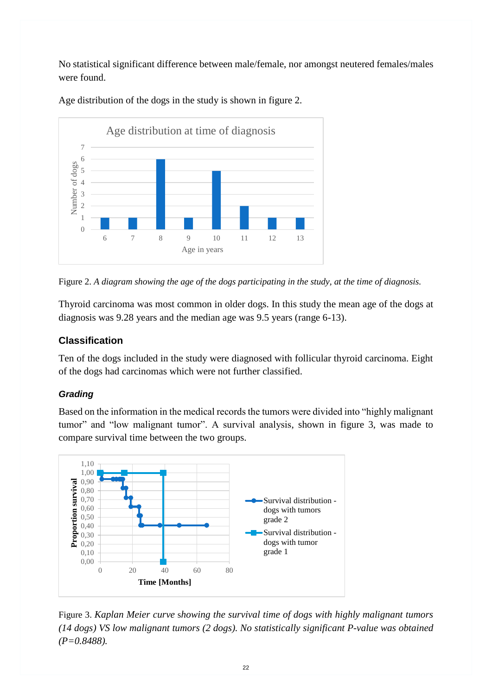No statistical significant difference between male/female, nor amongst neutered females/males were found.



Age distribution of the dogs in the study is shown in figure 2.

Figure 2. *A diagram showing the age of the dogs participating in the study, at the time of diagnosis.* 

Thyroid carcinoma was most common in older dogs. In this study the mean age of the dogs at diagnosis was 9.28 years and the median age was 9.5 years (range 6-13).

# <span id="page-29-0"></span>**Classification**

Ten of the dogs included in the study were diagnosed with follicular thyroid carcinoma. Eight of the dogs had carcinomas which were not further classified.

# <span id="page-29-1"></span>*Grading*

Based on the information in the medical records the tumors were divided into "highly malignant tumor" and "low malignant tumor". A survival analysis, shown in figure 3, was made to compare survival time between the two groups.



Figure 3. *Kaplan Meier curve* s*howing the survival time of dogs with highly malignant tumors (14 dogs) VS low malignant tumors (2 dogs). No statistically significant P-value was obtained (P=0.8488).*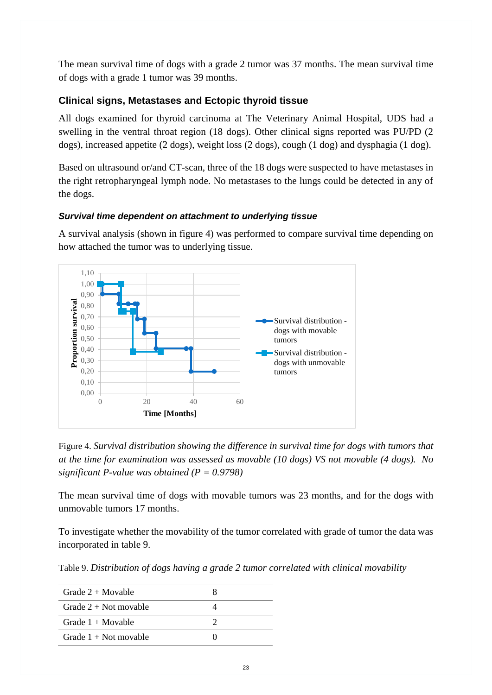The mean survival time of dogs with a grade 2 tumor was 37 months. The mean survival time of dogs with a grade 1 tumor was 39 months.

# <span id="page-30-0"></span>**Clinical signs, Metastases and Ectopic thyroid tissue**

All dogs examined for thyroid carcinoma at The Veterinary Animal Hospital, UDS had a swelling in the ventral throat region (18 dogs). Other clinical signs reported was PU/PD (2 dogs), increased appetite (2 dogs), weight loss (2 dogs), cough (1 dog) and dysphagia (1 dog).

Based on ultrasound or/and CT-scan, three of the 18 dogs were suspected to have metastases in the right retropharyngeal lymph node. No metastases to the lungs could be detected in any of the dogs.

### <span id="page-30-1"></span>*Survival time dependent on attachment to underlying tissue*

A survival analysis (shown in figure 4) was performed to compare survival time depending on how attached the tumor was to underlying tissue.



Figure 4. *Survival distribution showing the difference in survival time for dogs with tumors that at the time for examination was assessed as movable (10 dogs) VS not movable (4 dogs). No significant P-value was obtained (P = 0.9798)*

The mean survival time of dogs with movable tumors was 23 months, and for the dogs with unmovable tumors 17 months.

To investigate whether the movability of the tumor correlated with grade of tumor the data was incorporated in table 9.

Table 9. *Distribution of dogs having a grade 2 tumor correlated with clinical movability*

| Grade $2 + M$ ovable      |  |
|---------------------------|--|
| Grade $2 + Not$ movable   |  |
| Grade $1 + \text{Movale}$ |  |
| Grade $1 +$ Not movable   |  |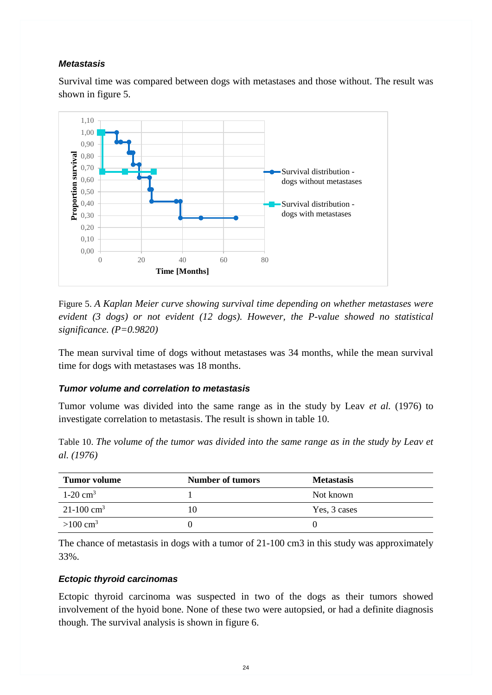### <span id="page-31-0"></span>*Metastasis*

Survival time was compared between dogs with metastases and those without. The result was shown in figure 5.



Figure 5. *A Kaplan Meier curve showing survival time depending on whether metastases were evident (3 dogs) or not evident (12 dogs). However, the P-value showed no statistical significance. (P=0.9820)*

The mean survival time of dogs without metastases was 34 months, while the mean survival time for dogs with metastases was 18 months.

#### <span id="page-31-1"></span>*Tumor volume and correlation to metastasis*

Tumor volume was divided into the same range as in the study by Leav *et al.* (1976) to investigate correlation to metastasis. The result is shown in table 10.

Table 10. *The volume of the tumor was divided into the same range as in the study by Leav et al. (1976)*

| Tumor volume               | Number of tumors | <b>Metastasis</b> |
|----------------------------|------------------|-------------------|
| $1-20$ cm <sup>3</sup>     |                  | Not known         |
| $21 - 100$ cm <sup>3</sup> | 10               | Yes, 3 cases      |
| $>100 \text{ cm}^3$        |                  |                   |

The chance of metastasis in dogs with a tumor of 21-100 cm3 in this study was approximately 33%.

#### <span id="page-31-2"></span>*Ectopic thyroid carcinomas*

Ectopic thyroid carcinoma was suspected in two of the dogs as their tumors showed involvement of the hyoid bone. None of these two were autopsied, or had a definite diagnosis though. The survival analysis is shown in figure 6.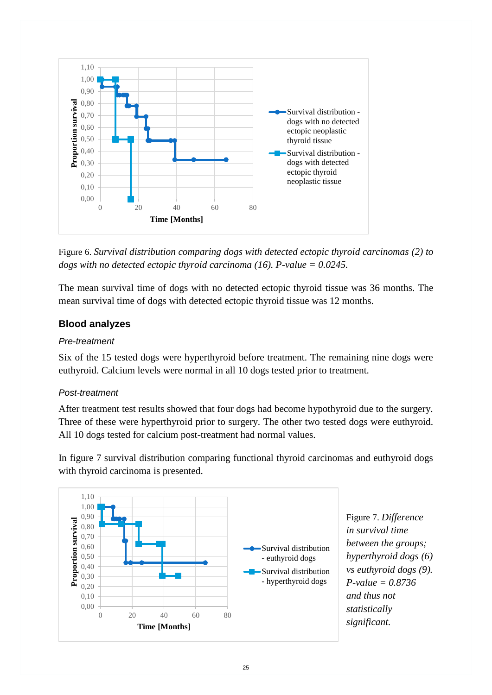

Figure 6. *Survival distribution comparing dogs with detected ectopic thyroid carcinomas (2) to dogs with no detected ectopic thyroid carcinoma (16). P-value = 0.0245.*

The mean survival time of dogs with no detected ectopic thyroid tissue was 36 months. The mean survival time of dogs with detected ectopic thyroid tissue was 12 months.

# <span id="page-32-0"></span>**Blood analyzes**

### <span id="page-32-1"></span>*Pre-treatment*

Six of the 15 tested dogs were hyperthyroid before treatment. The remaining nine dogs were euthyroid. Calcium levels were normal in all 10 dogs tested prior to treatment.

# <span id="page-32-2"></span>*Post-treatment*

After treatment test results showed that four dogs had become hypothyroid due to the surgery. Three of these were hyperthyroid prior to surgery. The other two tested dogs were euthyroid. All 10 dogs tested for calcium post-treatment had normal values.

In figure 7 survival distribution comparing functional thyroid carcinomas and euthyroid dogs with thyroid carcinoma is presented.



Figure 7. *Difference in survival time between the groups; hyperthyroid dogs (6) vs euthyroid dogs (9). P-value = 0.8736 and thus not statistically significant.*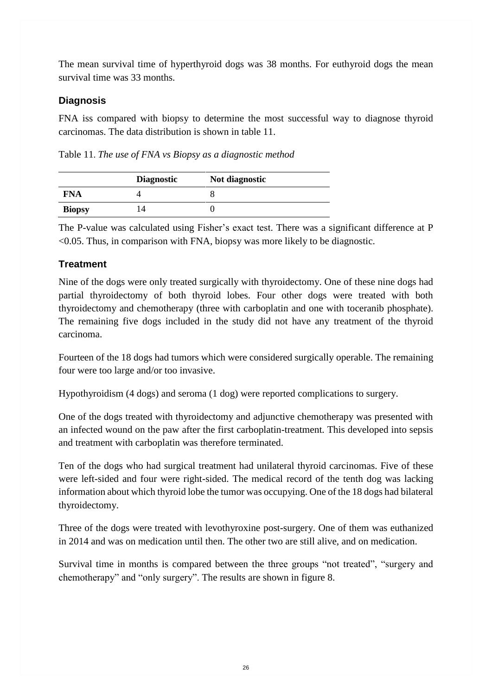The mean survival time of hyperthyroid dogs was 38 months. For euthyroid dogs the mean survival time was 33 months.

# <span id="page-33-0"></span>**Diagnosis**

FNA iss compared with biopsy to determine the most successful way to diagnose thyroid carcinomas. The data distribution is shown in table 11.

Table 11. *The use of FNA vs Biopsy as a diagnostic method*

|               | <b>Diagnostic</b> | Not diagnostic |
|---------------|-------------------|----------------|
| FNA           |                   |                |
| <b>Biopsy</b> | $\overline{4}$    |                |

The P-value was calculated using Fisher's exact test. There was a significant difference at P <0.05. Thus, in comparison with FNA, biopsy was more likely to be diagnostic.

# <span id="page-33-1"></span>**Treatment**

Nine of the dogs were only treated surgically with thyroidectomy. One of these nine dogs had partial thyroidectomy of both thyroid lobes. Four other dogs were treated with both thyroidectomy and chemotherapy (three with carboplatin and one with toceranib phosphate). The remaining five dogs included in the study did not have any treatment of the thyroid carcinoma.

Fourteen of the 18 dogs had tumors which were considered surgically operable. The remaining four were too large and/or too invasive.

Hypothyroidism (4 dogs) and seroma (1 dog) were reported complications to surgery.

One of the dogs treated with thyroidectomy and adjunctive chemotherapy was presented with an infected wound on the paw after the first carboplatin-treatment. This developed into sepsis and treatment with carboplatin was therefore terminated.

Ten of the dogs who had surgical treatment had unilateral thyroid carcinomas. Five of these were left-sided and four were right-sided. The medical record of the tenth dog was lacking information about which thyroid lobe the tumor was occupying. One of the 18 dogs had bilateral thyroidectomy.

Three of the dogs were treated with levothyroxine post-surgery. One of them was euthanized in 2014 and was on medication until then. The other two are still alive, and on medication.

Survival time in months is compared between the three groups "not treated", "surgery and chemotherapy" and "only surgery". The results are shown in figure 8.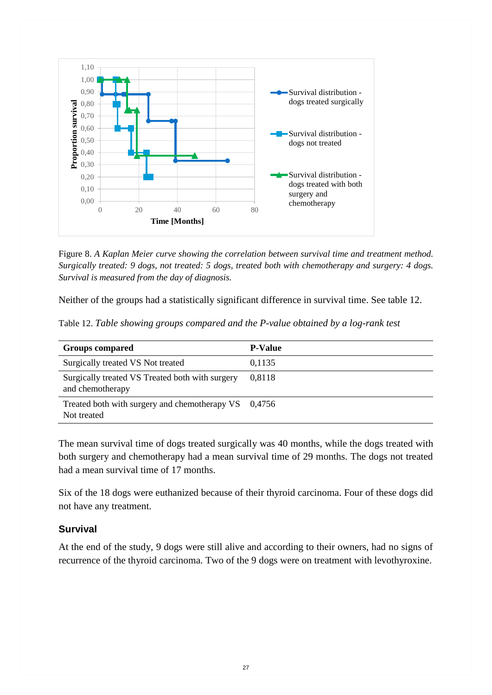

Figure 8. *A Kaplan Meier curve showing the correlation between survival time and treatment method. Surgically treated: 9 dogs, not treated: 5 dogs, treated both with chemotherapy and surgery: 4 dogs. Survival is measured from the day of diagnosis.*

Neither of the groups had a statistically significant difference in survival time. See table 12.

|  |  |  |  |  |  | Table 12. Table showing groups compared and the P-value obtained by a log-rank test |  |
|--|--|--|--|--|--|-------------------------------------------------------------------------------------|--|
|--|--|--|--|--|--|-------------------------------------------------------------------------------------|--|

| <b>Groups compared</b>                                              | <b>P-Value</b> |
|---------------------------------------------------------------------|----------------|
| Surgically treated VS Not treated                                   | 0,1135         |
| Surgically treated VS Treated both with surgery<br>and chemotherapy | 0.8118         |
| Treated both with surgery and chemotherapy VS 0,4756<br>Not treated |                |

The mean survival time of dogs treated surgically was 40 months, while the dogs treated with both surgery and chemotherapy had a mean survival time of 29 months. The dogs not treated had a mean survival time of 17 months.

Six of the 18 dogs were euthanized because of their thyroid carcinoma. Four of these dogs did not have any treatment.

### <span id="page-34-0"></span>**Survival**

<span id="page-34-1"></span>At the end of the study, 9 dogs were still alive and according to their owners, had no signs of recurrence of the thyroid carcinoma. Two of the 9 dogs were on treatment with levothyroxine.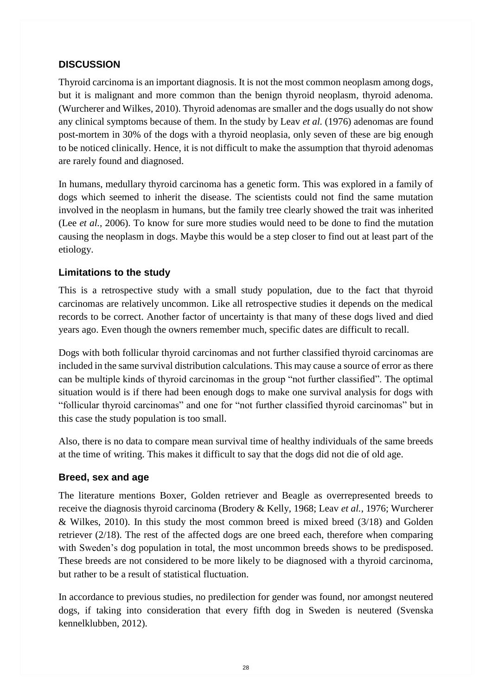# **DISCUSSION**

Thyroid carcinoma is an important diagnosis. It is not the most common neoplasm among dogs, but it is malignant and more common than the benign thyroid neoplasm, thyroid adenoma. (Wurcherer and Wilkes, 2010). Thyroid adenomas are smaller and the dogs usually do not show any clinical symptoms because of them. In the study by Leav *et al.* (1976) adenomas are found post-mortem in 30% of the dogs with a thyroid neoplasia, only seven of these are big enough to be noticed clinically. Hence, it is not difficult to make the assumption that thyroid adenomas are rarely found and diagnosed.

In humans, medullary thyroid carcinoma has a genetic form. This was explored in a family of dogs which seemed to inherit the disease. The scientists could not find the same mutation involved in the neoplasm in humans, but the family tree clearly showed the trait was inherited (Lee *et al.,* 2006). To know for sure more studies would need to be done to find the mutation causing the neoplasm in dogs. Maybe this would be a step closer to find out at least part of the etiology.

### <span id="page-35-0"></span>**Limitations to the study**

This is a retrospective study with a small study population, due to the fact that thyroid carcinomas are relatively uncommon. Like all retrospective studies it depends on the medical records to be correct. Another factor of uncertainty is that many of these dogs lived and died years ago. Even though the owners remember much, specific dates are difficult to recall.

Dogs with both follicular thyroid carcinomas and not further classified thyroid carcinomas are included in the same survival distribution calculations. This may cause a source of error as there can be multiple kinds of thyroid carcinomas in the group "not further classified". The optimal situation would is if there had been enough dogs to make one survival analysis for dogs with "follicular thyroid carcinomas" and one for "not further classified thyroid carcinomas" but in this case the study population is too small.

Also, there is no data to compare mean survival time of healthy individuals of the same breeds at the time of writing. This makes it difficult to say that the dogs did not die of old age.

# <span id="page-35-1"></span>**Breed, sex and age**

The literature mentions Boxer, Golden retriever and Beagle as overrepresented breeds to receive the diagnosis thyroid carcinoma (Brodery & Kelly, 1968; Leav *et al.*, 1976; Wurcherer & Wilkes, 2010). In this study the most common breed is mixed breed (3/18) and Golden retriever (2/18). The rest of the affected dogs are one breed each, therefore when comparing with Sweden's dog population in total, the most uncommon breeds shows to be predisposed. These breeds are not considered to be more likely to be diagnosed with a thyroid carcinoma, but rather to be a result of statistical fluctuation.

In accordance to previous studies, no predilection for gender was found, nor amongst neutered dogs, if taking into consideration that every fifth dog in Sweden is neutered (Svenska kennelklubben, 2012).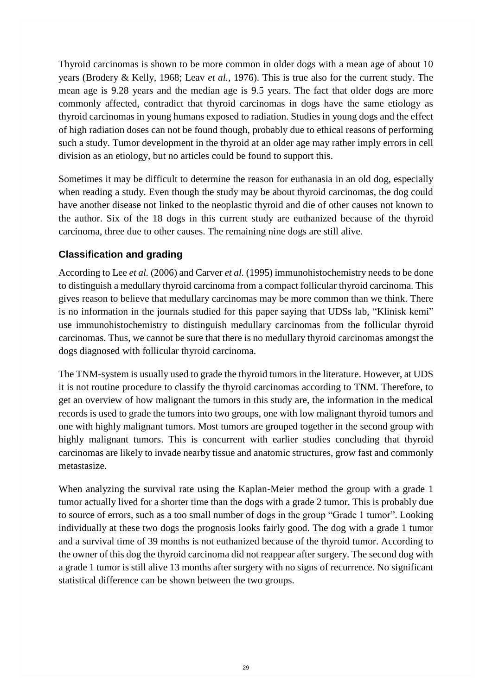Thyroid carcinomas is shown to be more common in older dogs with a mean age of about 10 years (Brodery & Kelly, 1968; Leav *et al.,* 1976). This is true also for the current study. The mean age is 9.28 years and the median age is 9.5 years. The fact that older dogs are more commonly affected, contradict that thyroid carcinomas in dogs have the same etiology as thyroid carcinomas in young humans exposed to radiation. Studies in young dogs and the effect of high radiation doses can not be found though, probably due to ethical reasons of performing such a study. Tumor development in the thyroid at an older age may rather imply errors in cell division as an etiology, but no articles could be found to support this.

Sometimes it may be difficult to determine the reason for euthanasia in an old dog, especially when reading a study. Even though the study may be about thyroid carcinomas, the dog could have another disease not linked to the neoplastic thyroid and die of other causes not known to the author. Six of the 18 dogs in this current study are euthanized because of the thyroid carcinoma, three due to other causes. The remaining nine dogs are still alive.

# <span id="page-36-0"></span>**Classification and grading**

According to Lee *et al.* (2006) and Carver *et al.* (1995) immunohistochemistry needs to be done to distinguish a medullary thyroid carcinoma from a compact follicular thyroid carcinoma. This gives reason to believe that medullary carcinomas may be more common than we think. There is no information in the journals studied for this paper saying that UDSs lab, "Klinisk kemi" use immunohistochemistry to distinguish medullary carcinomas from the follicular thyroid carcinomas. Thus, we cannot be sure that there is no medullary thyroid carcinomas amongst the dogs diagnosed with follicular thyroid carcinoma.

The TNM-system is usually used to grade the thyroid tumors in the literature. However, at UDS it is not routine procedure to classify the thyroid carcinomas according to TNM. Therefore, to get an overview of how malignant the tumors in this study are, the information in the medical records is used to grade the tumors into two groups, one with low malignant thyroid tumors and one with highly malignant tumors. Most tumors are grouped together in the second group with highly malignant tumors. This is concurrent with earlier studies concluding that thyroid carcinomas are likely to invade nearby tissue and anatomic structures, grow fast and commonly metastasize.

<span id="page-36-1"></span>When analyzing the survival rate using the Kaplan-Meier method the group with a grade 1 tumor actually lived for a shorter time than the dogs with a grade 2 tumor. This is probably due to source of errors, such as a too small number of dogs in the group "Grade 1 tumor". Looking individually at these two dogs the prognosis looks fairly good. The dog with a grade 1 tumor and a survival time of 39 months is not euthanized because of the thyroid tumor. According to the owner of this dog the thyroid carcinoma did not reappear after surgery. The second dog with a grade 1 tumor is still alive 13 months after surgery with no signs of recurrence. No significant statistical difference can be shown between the two groups.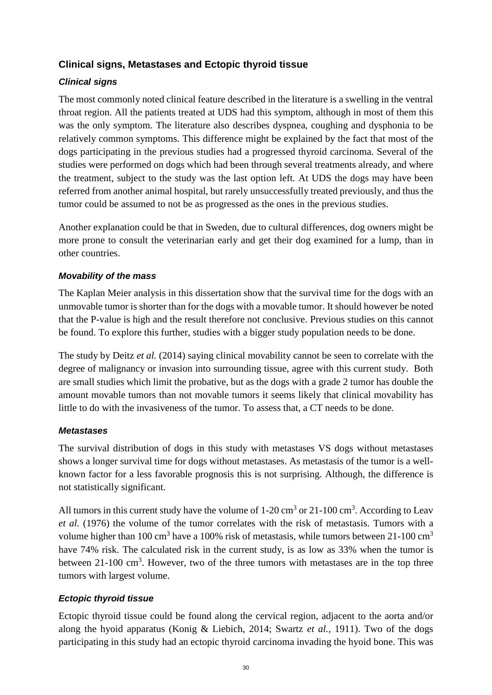# **Clinical signs, Metastases and Ectopic thyroid tissue**

# <span id="page-37-0"></span>*Clinical signs*

The most commonly noted clinical feature described in the literature is a swelling in the ventral throat region. All the patients treated at UDS had this symptom, although in most of them this was the only symptom. The literature also describes dyspnea, coughing and dysphonia to be relatively common symptoms. This difference might be explained by the fact that most of the dogs participating in the previous studies had a progressed thyroid carcinoma. Several of the studies were performed on dogs which had been through several treatments already, and where the treatment, subject to the study was the last option left. At UDS the dogs may have been referred from another animal hospital, but rarely unsuccessfully treated previously, and thus the tumor could be assumed to not be as progressed as the ones in the previous studies.

Another explanation could be that in Sweden, due to cultural differences, dog owners might be more prone to consult the veterinarian early and get their dog examined for a lump, than in other countries.

# <span id="page-37-1"></span>*Movability of the mass*

The Kaplan Meier analysis in this dissertation show that the survival time for the dogs with an unmovable tumor is shorter than for the dogs with a movable tumor. It should however be noted that the P-value is high and the result therefore not conclusive. Previous studies on this cannot be found. To explore this further, studies with a bigger study population needs to be done.

The study by Deitz *et al.* (2014) saying clinical movability cannot be seen to correlate with the degree of malignancy or invasion into surrounding tissue, agree with this current study. Both are small studies which limit the probative, but as the dogs with a grade 2 tumor has double the amount movable tumors than not movable tumors it seems likely that clinical movability has little to do with the invasiveness of the tumor. To assess that, a CT needs to be done.

# <span id="page-37-2"></span>*Metastases*

The survival distribution of dogs in this study with metastases VS dogs without metastases shows a longer survival time for dogs without metastases. As metastasis of the tumor is a wellknown factor for a less favorable prognosis this is not surprising. Although, the difference is not statistically significant.

All tumors in this current study have the volume of  $1\n-20 \text{ cm}^3$  or  $21\n-100 \text{ cm}^3$ . According to Leav *et al.* (1976) the volume of the tumor correlates with the risk of metastasis. Tumors with a volume higher than 100 cm<sup>3</sup> have a 100% risk of metastasis, while tumors between 21-100 cm<sup>3</sup> have 74% risk. The calculated risk in the current study, is as low as 33% when the tumor is between  $21-100 \text{ cm}^3$ . However, two of the three tumors with metastases are in the top three tumors with largest volume.

# <span id="page-37-3"></span>*Ectopic thyroid tissue*

Ectopic thyroid tissue could be found along the cervical region, adjacent to the aorta and/or along the hyoid apparatus (Konig & Liebich, 2014; Swartz *et al.,* 1911). Two of the dogs participating in this study had an ectopic thyroid carcinoma invading the hyoid bone. This was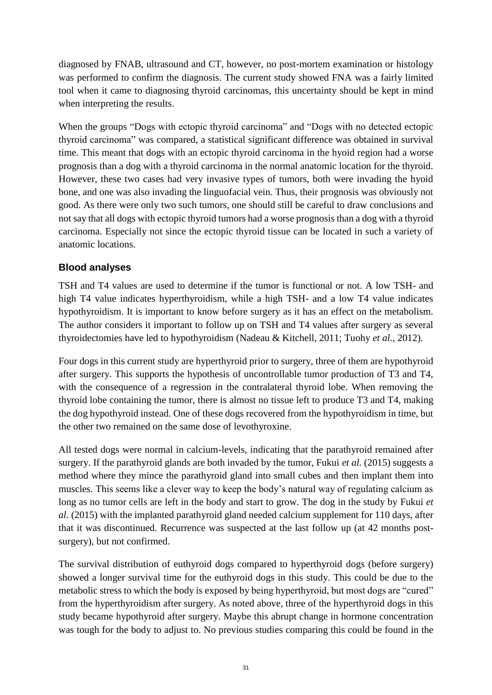diagnosed by FNAB, ultrasound and CT, however, no post-mortem examination or histology was performed to confirm the diagnosis. The current study showed FNA was a fairly limited tool when it came to diagnosing thyroid carcinomas, this uncertainty should be kept in mind when interpreting the results.

When the groups "Dogs with ectopic thyroid carcinoma" and "Dogs with no detected ectopic thyroid carcinoma" was compared, a statistical significant difference was obtained in survival time. This meant that dogs with an ectopic thyroid carcinoma in the hyoid region had a worse prognosis than a dog with a thyroid carcinoma in the normal anatomic location for the thyroid. However, these two cases had very invasive types of tumors, both were invading the hyoid bone, and one was also invading the linguofacial vein. Thus, their prognosis was obviously not good. As there were only two such tumors, one should still be careful to draw conclusions and not say that all dogs with ectopic thyroid tumors had a worse prognosis than a dog with a thyroid carcinoma. Especially not since the ectopic thyroid tissue can be located in such a variety of anatomic locations.

# <span id="page-38-0"></span>**Blood analyses**

TSH and T4 values are used to determine if the tumor is functional or not. A low TSH- and high T4 value indicates hyperthyroidism, while a high TSH- and a low T4 value indicates hypothyroidism. It is important to know before surgery as it has an effect on the metabolism. The author considers it important to follow up on TSH and T4 values after surgery as several thyroidectomies have led to hypothyroidism (Nadeau & Kitchell, 2011; Tuohy *et al.*, 2012).

Four dogs in this current study are hyperthyroid prior to surgery, three of them are hypothyroid after surgery. This supports the hypothesis of uncontrollable tumor production of T3 and T4, with the consequence of a regression in the contralateral thyroid lobe. When removing the thyroid lobe containing the tumor, there is almost no tissue left to produce T3 and T4, making the dog hypothyroid instead. One of these dogs recovered from the hypothyroidism in time, but the other two remained on the same dose of levothyroxine.

All tested dogs were normal in calcium-levels, indicating that the parathyroid remained after surgery. If the parathyroid glands are both invaded by the tumor, Fukui *et al.* (2015) suggests a method where they mince the parathyroid gland into small cubes and then implant them into muscles. This seems like a clever way to keep the body's natural way of regulating calcium as long as no tumor cells are left in the body and start to grow. The dog in the study by Fukui *et al.* (2015) with the implanted parathyroid gland needed calcium supplement for 110 days, after that it was discontinued. Recurrence was suspected at the last follow up (at 42 months postsurgery), but not confirmed.

The survival distribution of euthyroid dogs compared to hyperthyroid dogs (before surgery) showed a longer survival time for the euthyroid dogs in this study. This could be due to the metabolic stress to which the body is exposed by being hyperthyroid, but most dogs are "cured" from the hyperthyroidism after surgery. As noted above, three of the hyperthyroid dogs in this study became hypothyroid after surgery. Maybe this abrupt change in hormone concentration was tough for the body to adjust to. No previous studies comparing this could be found in the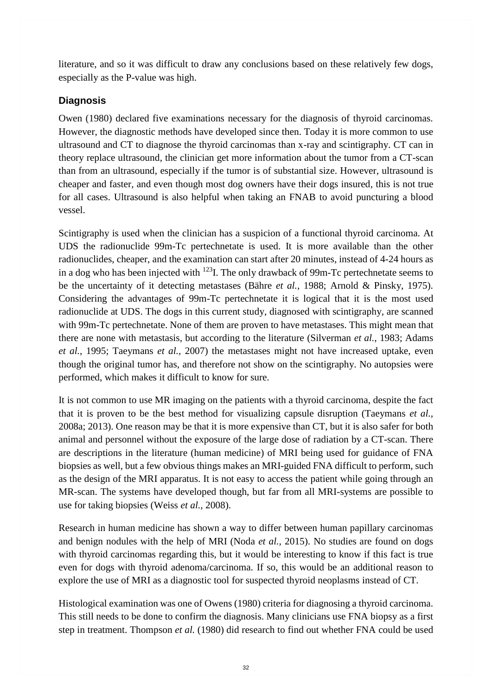literature, and so it was difficult to draw any conclusions based on these relatively few dogs, especially as the P-value was high.

# <span id="page-39-0"></span>**Diagnosis**

Owen (1980) declared five examinations necessary for the diagnosis of thyroid carcinomas. However, the diagnostic methods have developed since then. Today it is more common to use ultrasound and CT to diagnose the thyroid carcinomas than x-ray and scintigraphy. CT can in theory replace ultrasound, the clinician get more information about the tumor from a CT-scan than from an ultrasound, especially if the tumor is of substantial size. However, ultrasound is cheaper and faster, and even though most dog owners have their dogs insured, this is not true for all cases. Ultrasound is also helpful when taking an FNAB to avoid puncturing a blood vessel.

Scintigraphy is used when the clinician has a suspicion of a functional thyroid carcinoma. At UDS the radionuclide 99m-Tc pertechnetate is used. It is more available than the other radionuclides, cheaper, and the examination can start after 20 minutes, instead of 4-24 hours as in a dog who has been injected with <sup>123</sup>I. The only drawback of 99m-Tc pertechnetate seems to be the uncertainty of it detecting metastases (Bähre *et al.,* 1988; Arnold & Pinsky, 1975). Considering the advantages of 99m-Tc pertechnetate it is logical that it is the most used radionuclide at UDS. The dogs in this current study, diagnosed with scintigraphy, are scanned with 99m-Tc pertechnetate. None of them are proven to have metastases. This might mean that there are none with metastasis, but according to the literature (Silverman *et al.,* 1983; Adams *et al.,* 1995; Taeymans *et al.,* 2007) the metastases might not have increased uptake, even though the original tumor has, and therefore not show on the scintigraphy. No autopsies were performed, which makes it difficult to know for sure.

It is not common to use MR imaging on the patients with a thyroid carcinoma, despite the fact that it is proven to be the best method for visualizing capsule disruption (Taeymans *et al.,*  2008a; 2013). One reason may be that it is more expensive than CT, but it is also safer for both animal and personnel without the exposure of the large dose of radiation by a CT-scan. There are descriptions in the literature (human medicine) of MRI being used for guidance of FNA biopsies as well, but a few obvious things makes an MRI-guided FNA difficult to perform, such as the design of the MRI apparatus. It is not easy to access the patient while going through an MR-scan. The systems have developed though, but far from all MRI-systems are possible to use for taking biopsies (Weiss *et al.,* 2008).

Research in human medicine has shown a way to differ between human papillary carcinomas and benign nodules with the help of MRI (Noda *et al.,* 2015). No studies are found on dogs with thyroid carcinomas regarding this, but it would be interesting to know if this fact is true even for dogs with thyroid adenoma/carcinoma. If so, this would be an additional reason to explore the use of MRI as a diagnostic tool for suspected thyroid neoplasms instead of CT.

Histological examination was one of Owens (1980) criteria for diagnosing a thyroid carcinoma. This still needs to be done to confirm the diagnosis. Many clinicians use FNA biopsy as a first step in treatment. Thompson *et al.* (1980) did research to find out whether FNA could be used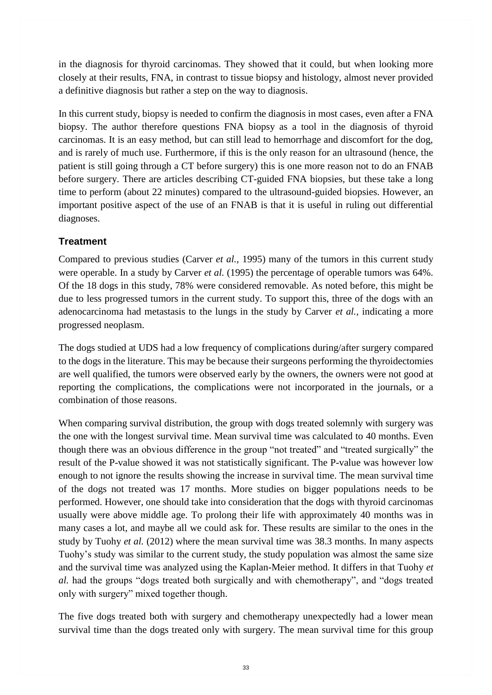in the diagnosis for thyroid carcinomas. They showed that it could, but when looking more closely at their results, FNA, in contrast to tissue biopsy and histology, almost never provided a definitive diagnosis but rather a step on the way to diagnosis.

In this current study, biopsy is needed to confirm the diagnosis in most cases, even after a FNA biopsy. The author therefore questions FNA biopsy as a tool in the diagnosis of thyroid carcinomas. It is an easy method, but can still lead to hemorrhage and discomfort for the dog, and is rarely of much use. Furthermore, if this is the only reason for an ultrasound (hence, the patient is still going through a CT before surgery) this is one more reason not to do an FNAB before surgery. There are articles describing CT-guided FNA biopsies, but these take a long time to perform (about 22 minutes) compared to the ultrasound-guided biopsies. However, an important positive aspect of the use of an FNAB is that it is useful in ruling out differential diagnoses.

# <span id="page-40-0"></span>**Treatment**

Compared to previous studies (Carver *et al.,* 1995) many of the tumors in this current study were operable. In a study by Carver *et al.* (1995) the percentage of operable tumors was 64%. Of the 18 dogs in this study, 78% were considered removable. As noted before, this might be due to less progressed tumors in the current study. To support this, three of the dogs with an adenocarcinoma had metastasis to the lungs in the study by Carver *et al.,* indicating a more progressed neoplasm.

The dogs studied at UDS had a low frequency of complications during/after surgery compared to the dogs in the literature. This may be because their surgeons performing the thyroidectomies are well qualified, the tumors were observed early by the owners, the owners were not good at reporting the complications, the complications were not incorporated in the journals, or a combination of those reasons.

When comparing survival distribution, the group with dogs treated solemnly with surgery was the one with the longest survival time. Mean survival time was calculated to 40 months. Even though there was an obvious difference in the group "not treated" and "treated surgically" the result of the P-value showed it was not statistically significant. The P-value was however low enough to not ignore the results showing the increase in survival time. The mean survival time of the dogs not treated was 17 months. More studies on bigger populations needs to be performed. However, one should take into consideration that the dogs with thyroid carcinomas usually were above middle age. To prolong their life with approximately 40 months was in many cases a lot, and maybe all we could ask for. These results are similar to the ones in the study by Tuohy *et al.* (2012) where the mean survival time was 38.3 months. In many aspects Tuohy's study was similar to the current study, the study population was almost the same size and the survival time was analyzed using the Kaplan-Meier method. It differs in that Tuohy *et al.* had the groups "dogs treated both surgically and with chemotherapy", and "dogs treated only with surgery" mixed together though.

The five dogs treated both with surgery and chemotherapy unexpectedly had a lower mean survival time than the dogs treated only with surgery. The mean survival time for this group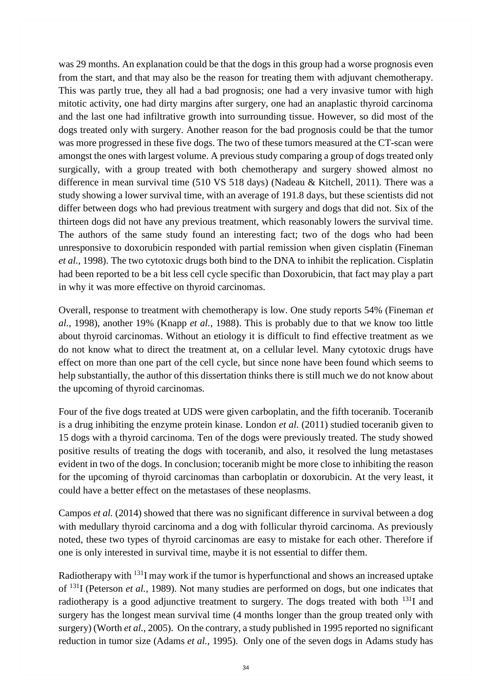was 29 months. An explanation could be that the dogs in this group had a worse prognosis even from the start, and that may also be the reason for treating them with adjuvant chemotherapy. This was partly true, they all had a bad prognosis; one had a very invasive tumor with high mitotic activity, one had dirty margins after surgery, one had an anaplastic thyroid carcinoma and the last one had infiltrative growth into surrounding tissue. However, so did most of the dogs treated only with surgery. Another reason for the bad prognosis could be that the tumor was more progressed in these five dogs. The two of these tumors measured at the CT-scan were amongst the ones with largest volume. A previous study comparing a group of dogs treated only surgically, with a group treated with both chemotherapy and surgery showed almost no difference in mean survival time (510 VS 518 days) (Nadeau & Kitchell, 2011). There was a study showing a lower survival time, with an average of 191.8 days, but these scientists did not differ between dogs who had previous treatment with surgery and dogs that did not. Six of the thirteen dogs did not have any previous treatment, which reasonably lowers the survival time. The authors of the same study found an interesting fact; two of the dogs who had been unresponsive to doxorubicin responded with partial remission when given cisplatin (Fineman *et al.,* 1998). The two cytotoxic drugs both bind to the DNA to inhibit the replication. Cisplatin had been reported to be a bit less cell cycle specific than Doxorubicin, that fact may play a part in why it was more effective on thyroid carcinomas.

Overall, response to treatment with chemotherapy is low. One study reports 54% (Fineman *et al.,* 1998), another 19% (Knapp *et al.,* 1988). This is probably due to that we know too little about thyroid carcinomas. Without an etiology it is difficult to find effective treatment as we do not know what to direct the treatment at, on a cellular level. Many cytotoxic drugs have effect on more than one part of the cell cycle, but since none have been found which seems to help substantially, the author of this dissertation thinks there is still much we do not know about the upcoming of thyroid carcinomas.

Four of the five dogs treated at UDS were given carboplatin, and the fifth toceranib. Toceranib is a drug inhibiting the enzyme protein kinase. London *et al.* (2011) studied toceranib given to 15 dogs with a thyroid carcinoma. Ten of the dogs were previously treated. The study showed positive results of treating the dogs with toceranib, and also, it resolved the lung metastases evident in two of the dogs. In conclusion; toceranib might be more close to inhibiting the reason for the upcoming of thyroid carcinomas than carboplatin or doxorubicin. At the very least, it could have a better effect on the metastases of these neoplasms.

Campos *et al.* (2014) showed that there was no significant difference in survival between a dog with medullary thyroid carcinoma and a dog with follicular thyroid carcinoma. As previously noted, these two types of thyroid carcinomas are easy to mistake for each other. Therefore if one is only interested in survival time, maybe it is not essential to differ them.

Radiotherapy with <sup>131</sup>I may work if the tumor is hyperfunctional and shows an increased uptake of <sup>131</sup>I (Peterson *et al.,* 1989). Not many studies are performed on dogs, but one indicates that radiotherapy is a good adjunctive treatment to surgery. The dogs treated with both  $^{131}$ I and surgery has the longest mean survival time (4 months longer than the group treated only with surgery) (Worth *et al.*, 2005). On the contrary, a study published in 1995 reported no significant reduction in tumor size (Adams *et al.,* 1995). Only one of the seven dogs in Adams study has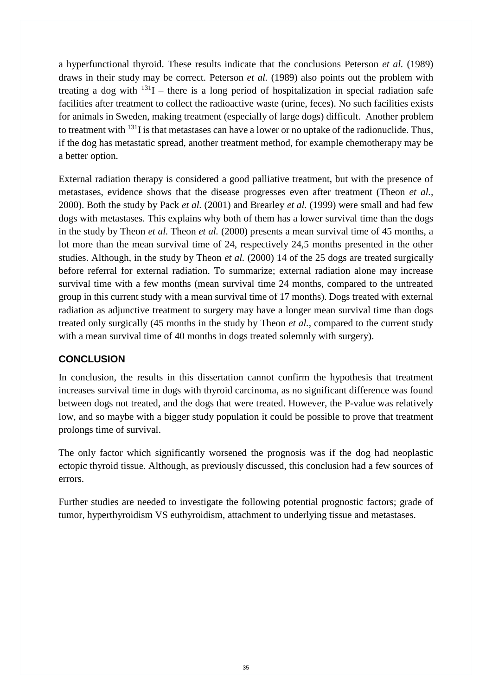a hyperfunctional thyroid. These results indicate that the conclusions Peterson *et al.* (1989) draws in their study may be correct. Peterson *et al.* (1989) also points out the problem with treating a dog with  $131I$  – there is a long period of hospitalization in special radiation safe facilities after treatment to collect the radioactive waste (urine, feces). No such facilities exists for animals in Sweden, making treatment (especially of large dogs) difficult. Another problem to treatment with  $^{131}$ I is that metastases can have a lower or no uptake of the radionuclide. Thus, if the dog has metastatic spread, another treatment method, for example chemotherapy may be a better option.

External radiation therapy is considered a good palliative treatment, but with the presence of metastases, evidence shows that the disease progresses even after treatment (Theon *et al.,*  2000). Both the study by Pack *et al.* (2001) and Brearley *et al.* (1999) were small and had few dogs with metastases. This explains why both of them has a lower survival time than the dogs in the study by Theon *et al.* Theon *et al.* (2000) presents a mean survival time of 45 months, a lot more than the mean survival time of 24, respectively 24,5 months presented in the other studies. Although, in the study by Theon *et al.* (2000) 14 of the 25 dogs are treated surgically before referral for external radiation. To summarize; external radiation alone may increase survival time with a few months (mean survival time 24 months, compared to the untreated group in this current study with a mean survival time of 17 months). Dogs treated with external radiation as adjunctive treatment to surgery may have a longer mean survival time than dogs treated only surgically (45 months in the study by Theon *et al.,* compared to the current study with a mean survival time of 40 months in dogs treated solemnly with surgery).

# <span id="page-42-0"></span>**CONCLUSION**

In conclusion, the results in this dissertation cannot confirm the hypothesis that treatment increases survival time in dogs with thyroid carcinoma, as no significant difference was found between dogs not treated, and the dogs that were treated. However, the P-value was relatively low, and so maybe with a bigger study population it could be possible to prove that treatment prolongs time of survival.

The only factor which significantly worsened the prognosis was if the dog had neoplastic ectopic thyroid tissue. Although, as previously discussed, this conclusion had a few sources of errors.

Further studies are needed to investigate the following potential prognostic factors; grade of tumor, hyperthyroidism VS euthyroidism, attachment to underlying tissue and metastases.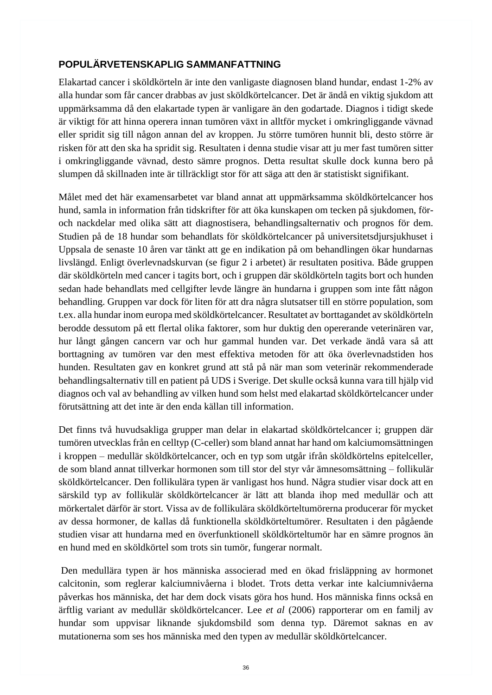# <span id="page-43-0"></span>**POPULÄRVETENSKAPLIG SAMMANFATTNING**

Elakartad cancer i sköldkörteln är inte den vanligaste diagnosen bland hundar, endast 1-2% av alla hundar som får cancer drabbas av just sköldkörtelcancer. Det är ändå en viktig sjukdom att uppmärksamma då den elakartade typen är vanligare än den godartade. Diagnos i tidigt skede är viktigt för att hinna operera innan tumören växt in alltför mycket i omkringliggande vävnad eller spridit sig till någon annan del av kroppen. Ju större tumören hunnit bli, desto större är risken för att den ska ha spridit sig. Resultaten i denna studie visar att ju mer fast tumören sitter i omkringliggande vävnad, desto sämre prognos. Detta resultat skulle dock kunna bero på slumpen då skillnaden inte är tillräckligt stor för att säga att den är statistiskt signifikant.

Målet med det här examensarbetet var bland annat att uppmärksamma sköldkörtelcancer hos hund, samla in information från tidskrifter för att öka kunskapen om tecken på sjukdomen, föroch nackdelar med olika sätt att diagnostisera, behandlingsalternativ och prognos för dem. Studien på de 18 hundar som behandlats för sköldkörtelcancer på universitetsdjursjukhuset i Uppsala de senaste 10 åren var tänkt att ge en indikation på om behandlingen ökar hundarnas livslängd. Enligt överlevnadskurvan (se figur 2 i arbetet) är resultaten positiva. Både gruppen där sköldkörteln med cancer i tagits bort, och i gruppen där sköldkörteln tagits bort och hunden sedan hade behandlats med cellgifter levde längre än hundarna i gruppen som inte fått någon behandling. Gruppen var dock för liten för att dra några slutsatser till en större population, som t.ex. alla hundar inom europa med sköldkörtelcancer. Resultatet av borttagandet av sköldkörteln berodde dessutom på ett flertal olika faktorer, som hur duktig den opererande veterinären var, hur långt gången cancern var och hur gammal hunden var. Det verkade ändå vara så att borttagning av tumören var den mest effektiva metoden för att öka överlevnadstiden hos hunden. Resultaten gav en konkret grund att stå på när man som veterinär rekommenderade behandlingsalternativ till en patient på UDS i Sverige. Det skulle också kunna vara till hjälp vid diagnos och val av behandling av vilken hund som helst med elakartad sköldkörtelcancer under förutsättning att det inte är den enda källan till information.

Det finns två huvudsakliga grupper man delar in elakartad sköldkörtelcancer i; gruppen där tumören utvecklas från en celltyp (C-celler) som bland annat har hand om kalciumomsättningen i kroppen – medullär sköldkörtelcancer, och en typ som utgår ifrån sköldkörtelns epitelceller, de som bland annat tillverkar hormonen som till stor del styr vår ämnesomsättning – follikulär sköldkörtelcancer. Den follikulära typen är vanligast hos hund. Några studier visar dock att en särskild typ av follikulär sköldkörtelcancer är lätt att blanda ihop med medullär och att mörkertalet därför är stort. Vissa av de follikulära sköldkörteltumörerna producerar för mycket av dessa hormoner, de kallas då funktionella sköldkörteltumörer. Resultaten i den pågående studien visar att hundarna med en överfunktionell sköldkörteltumör har en sämre prognos än en hund med en sköldkörtel som trots sin tumör, fungerar normalt.

Den medullära typen är hos människa associerad med en ökad frisläppning av hormonet calcitonin, som reglerar kalciumnivåerna i blodet. Trots detta verkar inte kalciumnivåerna påverkas hos människa, det har dem dock visats göra hos hund. Hos människa finns också en ärftlig variant av medullär sköldkörtelcancer. Lee *et al* (2006) rapporterar om en familj av hundar som uppvisar liknande sjukdomsbild som denna typ. Däremot saknas en av mutationerna som ses hos människa med den typen av medullär sköldkörtelcancer.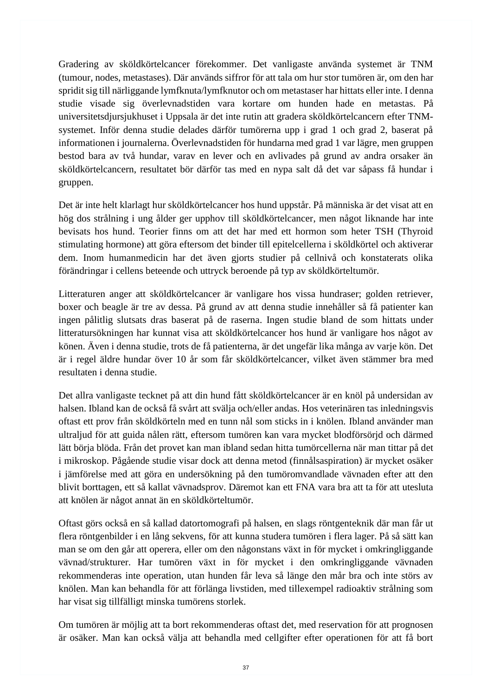Gradering av sköldkörtelcancer förekommer. Det vanligaste använda systemet är TNM (tumour, nodes, metastases). Där används siffror för att tala om hur stor tumören är, om den har spridit sig till närliggande lymfknuta/lymfknutor och om metastaser har hittats eller inte. I denna studie visade sig överlevnadstiden vara kortare om hunden hade en metastas. På universitetsdjursjukhuset i Uppsala är det inte rutin att gradera sköldkörtelcancern efter TNMsystemet. Inför denna studie delades därför tumörerna upp i grad 1 och grad 2, baserat på informationen i journalerna. Överlevnadstiden för hundarna med grad 1 var lägre, men gruppen bestod bara av två hundar, varav en lever och en avlivades på grund av andra orsaker än sköldkörtelcancern, resultatet bör därför tas med en nypa salt då det var såpass få hundar i gruppen.

Det är inte helt klarlagt hur sköldkörtelcancer hos hund uppstår. På människa är det visat att en hög dos strålning i ung ålder ger upphov till sköldkörtelcancer, men något liknande har inte bevisats hos hund. Teorier finns om att det har med ett hormon som heter TSH (Thyroid stimulating hormone) att göra eftersom det binder till epitelcellerna i sköldkörtel och aktiverar dem. Inom humanmedicin har det även gjorts studier på cellnivå och konstaterats olika förändringar i cellens beteende och uttryck beroende på typ av sköldkörteltumör.

Litteraturen anger att sköldkörtelcancer är vanligare hos vissa hundraser; golden retriever, boxer och beagle är tre av dessa. På grund av att denna studie innehåller så få patienter kan ingen pålitlig slutsats dras baserat på de raserna. Ingen studie bland de som hittats under litteratursökningen har kunnat visa att sköldkörtelcancer hos hund är vanligare hos något av könen. Även i denna studie, trots de få patienterna, är det ungefär lika många av varje kön. Det är i regel äldre hundar över 10 år som får sköldkörtelcancer, vilket även stämmer bra med resultaten i denna studie.

Det allra vanligaste tecknet på att din hund fått sköldkörtelcancer är en knöl på undersidan av halsen. Ibland kan de också få svårt att svälja och/eller andas. Hos veterinären tas inledningsvis oftast ett prov från sköldkörteln med en tunn nål som sticks in i knölen. Ibland använder man ultraljud för att guida nålen rätt, eftersom tumören kan vara mycket blodförsörjd och därmed lätt börja blöda. Från det provet kan man ibland sedan hitta tumörcellerna när man tittar på det i mikroskop. Pågående studie visar dock att denna metod (finnålsaspiration) är mycket osäker i jämförelse med att göra en undersökning på den tumöromvandlade vävnaden efter att den blivit borttagen, ett så kallat vävnadsprov. Däremot kan ett FNA vara bra att ta för att utesluta att knölen är något annat än en sköldkörteltumör.

Oftast görs också en så kallad datortomografi på halsen, en slags röntgenteknik där man får ut flera röntgenbilder i en lång sekvens, för att kunna studera tumören i flera lager. På så sätt kan man se om den går att operera, eller om den någonstans växt in för mycket i omkringliggande vävnad/strukturer. Har tumören växt in för mycket i den omkringliggande vävnaden rekommenderas inte operation, utan hunden får leva så länge den mår bra och inte störs av knölen. Man kan behandla för att förlänga livstiden, med tillexempel radioaktiv strålning som har visat sig tillfälligt minska tumörens storlek.

Om tumören är möjlig att ta bort rekommenderas oftast det, med reservation för att prognosen är osäker. Man kan också välja att behandla med cellgifter efter operationen för att få bort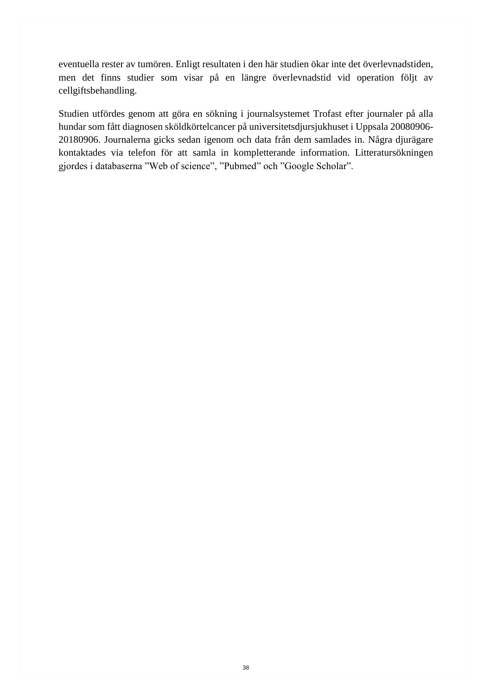eventuella rester av tumören. Enligt resultaten i den här studien ökar inte det överlevnadstiden, men det finns studier som visar på en längre överlevnadstid vid operation följt av cellgiftsbehandling.

Studien utfördes genom att göra en sökning i journalsystemet Trofast efter journaler på alla hundar som fått diagnosen sköldkörtelcancer på universitetsdjursjukhuset i Uppsala 20080906- 20180906. Journalerna gicks sedan igenom och data från dem samlades in. Några djurägare kontaktades via telefon för att samla in kompletterande information. Litteratursökningen gjordes i databaserna "Web of science", "Pubmed" och "Google Scholar".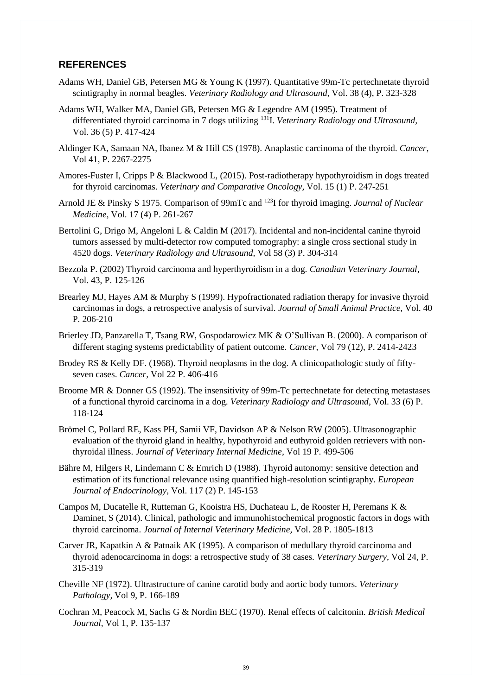#### <span id="page-46-0"></span>**REFERENCES**

- Adams WH, Daniel GB, Petersen MG & Young K (1997). Quantitative 99m-Tc pertechnetate thyroid scintigraphy in normal beagles. *Veterinary Radiology and Ultrasound,* Vol. 38 (4), P. 323-328
- Adams WH, Walker MA, Daniel GB, Petersen MG & Legendre AM (1995). Treatment of differentiated thyroid carcinoma in 7 dogs utilizing <sup>131</sup>I. *Veterinary Radiology and Ultrasound,* Vol. 36 (5) P. 417-424
- Aldinger KA, Samaan NA, Ibanez M & Hill CS (1978). Anaplastic carcinoma of the thyroid. *Cancer,* Vol 41, P. 2267-2275
- Amores-Fuster I, Cripps P & Blackwood L, (2015). Post-radiotherapy hypothyroidism in dogs treated for thyroid carcinomas. *Veterinary and Comparative Oncology,* Vol. 15 (1) P. 247-251
- Arnold JE & Pinsky S 1975. Comparison of 99mTc and <sup>123</sup>I for thyroid imaging. *Journal of Nuclear Medicine,* Vol. 17 (4) P. 261-267
- Bertolini G, Drigo M, Angeloni L & Caldin M (2017). Incidental and non-incidental canine thyroid tumors assessed by multi-detector row computed tomography: a single cross sectional study in 4520 dogs. *Veterinary Radiology and Ultrasound,* Vol 58 (3) P. 304-314
- Bezzola P. (2002) Thyroid carcinoma and hyperthyroidism in a dog. *Canadian Veterinary Journal,* Vol. 43, P. 125-126
- Brearley MJ, Hayes AM & Murphy S (1999). Hypofractionated radiation therapy for invasive thyroid carcinomas in dogs, a retrospective analysis of survival. *Journal of Small Animal Practice,* Vol. 40 P. 206-210
- Brierley JD, Panzarella T, Tsang RW, Gospodarowicz MK & O'Sullivan B. (2000). A comparison of different staging systems predictability of patient outcome. *Cancer,* Vol 79 (12), P. 2414-2423
- Brodey RS & Kelly DF. (1968). Thyroid neoplasms in the dog. A clinicopathologic study of fiftyseven cases. *Cancer,* Vol 22 P. 406-416
- Broome MR & Donner GS (1992). The insensitivity of 99m-Tc pertechnetate for detecting metastases of a functional thyroid carcinoma in a dog. *Veterinary Radiology and Ultrasound,* Vol. 33 (6) P. 118-124
- Brömel C, Pollard RE, Kass PH, Samii VF, Davidson AP & Nelson RW (2005). Ultrasonographic evaluation of the thyroid gland in healthy, hypothyroid and euthyroid golden retrievers with nonthyroidal illness. *Journal of Veterinary Internal Medicine,* Vol 19 P. 499-506
- Bähre M, Hilgers R, Lindemann C & Emrich D (1988). Thyroid autonomy: sensitive detection and estimation of its functional relevance using quantified high-resolution scintigraphy. *European Journal of Endocrinology,* Vol. 117 (2) P. 145-153
- Campos M, Ducatelle R, Rutteman G, Kooistra HS, Duchateau L, de Rooster H, Peremans K & Daminet, S (2014). Clinical, pathologic and immunohistochemical prognostic factors in dogs with thyroid carcinoma. *Journal of Internal Veterinary Medicine,* Vol. 28 P. 1805-1813
- Carver JR, Kapatkin A & Patnaik AK (1995). A comparison of medullary thyroid carcinoma and thyroid adenocarcinoma in dogs: a retrospective study of 38 cases. *Veterinary Surgery,* Vol 24, P. 315-319
- Cheville NF (1972). Ultrastructure of canine carotid body and aortic body tumors. *Veterinary Pathology,* Vol 9, P. 166-189
- Cochran M, Peacock M, Sachs G & Nordin BEC (1970). Renal effects of calcitonin. *British Medical Journal,* Vol 1, P. 135-137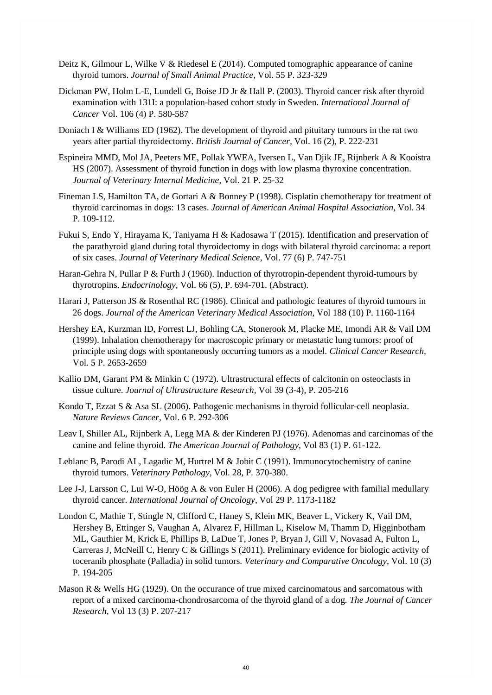- Deitz K, Gilmour L, Wilke V & Riedesel E (2014). Computed tomographic appearance of canine thyroid tumors. *Journal of Small Animal Practice,* Vol. 55 P. 323-329
- Dickman PW, Holm L-E, Lundell G, Boise JD Jr & Hall P. (2003). Thyroid cancer risk after thyroid examination with 131I: a population-based cohort study in Sweden. *International Journal of Cancer* Vol. 106 (4) P. 580-587
- Doniach I & Williams ED (1962). The development of thyroid and pituitary tumours in the rat two years after partial thyroidectomy. *British Journal of Cancer,* Vol. 16 (2), P. 222-231
- Espineira MMD, Mol JA, Peeters ME, Pollak YWEA, Iversen L, Van Djik JE, Rijnberk A & Kooistra HS (2007). Assessment of thyroid function in dogs with low plasma thyroxine concentration. *Journal of Veterinary Internal Medicine,* Vol. 21 P. 25-32
- Fineman LS, Hamilton TA, de Gortari A & Bonney P (1998). Cisplatin chemotherapy for treatment of thyroid carcinomas in dogs: 13 cases. *Journal of American Animal Hospital Association,* Vol. 34 P. 109-112.
- Fukui S, Endo Y, Hirayama K, Taniyama H & Kadosawa T (2015). Identification and preservation of the parathyroid gland during total thyroidectomy in dogs with bilateral thyroid carcinoma: a report of six cases. *Journal of Veterinary Medical Science,* Vol. 77 (6) P. 747-751
- Haran-Gehra N, Pullar P & Furth J (1960). Induction of thyrotropin-dependent thyroid-tumours by thyrotropins. *Endocrinology,* Vol. 66 (5), P. 694-701. (Abstract).
- Harari J, Patterson JS & Rosenthal RC (1986). Clinical and pathologic features of thyroid tumours in 26 dogs. *Journal of the American Veterinary Medical Association,* Vol 188 (10) P. 1160-1164
- Hershey EA, Kurzman ID, Forrest LJ, Bohling CA, Stonerook M, Placke ME, Imondi AR & Vail DM (1999). Inhalation chemotherapy for macroscopic primary or metastatic lung tumors: proof of principle using dogs with spontaneously occurring tumors as a model. *Clinical Cancer Research,* Vol. 5 P. 2653-2659
- Kallio DM, Garant PM & Minkin C (1972). Ultrastructural effects of calcitonin on osteoclasts in tissue culture. *Journal of Ultrastructure Research,* Vol 39 (3-4), P. 205-216
- Kondo T, Ezzat S & Asa SL (2006). Pathogenic mechanisms in thyroid follicular-cell neoplasia. *Nature Reviews Cancer,* Vol. 6 P. 292-306
- Leav I, Shiller AL, Rijnberk A, Legg MA & der Kinderen PJ (1976). Adenomas and carcinomas of the canine and feline thyroid. *The American Journal of Pathology,* Vol 83 (1) P. 61-122.
- Leblanc B, Parodi AL, Lagadic M, Hurtrel M & Jobit C (1991). Immunocytochemistry of canine thyroid tumors. *Veterinary Pathology,* Vol. 28, P. 370-380.
- Lee J-J, Larsson C, Lui W-O, Höög A & von Euler H (2006). A dog pedigree with familial medullary thyroid cancer. *International Journal of Oncology,* Vol 29 P. 1173-1182
- London C, Mathie T, Stingle N, Clifford C, Haney S, Klein MK, Beaver L, Vickery K, Vail DM, Hershey B, Ettinger S, Vaughan A, Alvarez F, Hillman L, Kiselow M, Thamm D, Higginbotham ML, Gauthier M, Krick E, Phillips B, LaDue T, Jones P, Bryan J, Gill V, Novasad A, Fulton L, Carreras J, McNeill C, Henry C & Gillings S (2011). Preliminary evidence for biologic activity of toceranib phosphate (Palladia) in solid tumors. *Veterinary and Comparative Oncology,* Vol. 10 (3) P. 194-205
- Mason R & Wells HG (1929). On the occurance of true mixed carcinomatous and sarcomatous with report of a mixed carcinoma-chondrosarcoma of the thyroid gland of a dog*. The Journal of Cancer Research,* Vol 13 (3) P. 207-217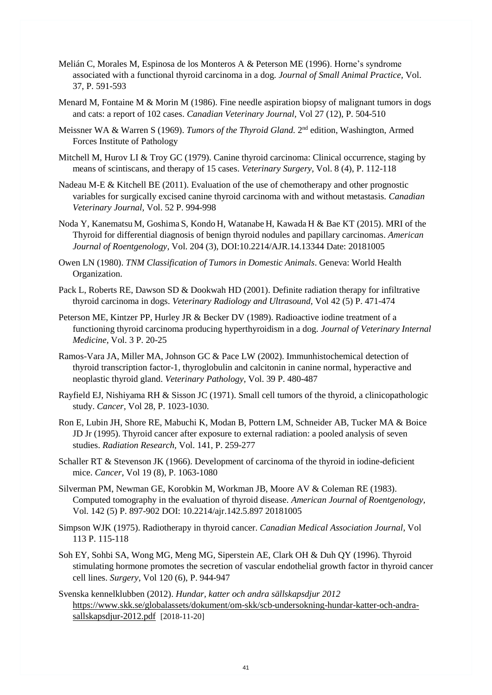- Melián C, Morales M, Espinosa de los Monteros A & Peterson ME (1996). Horne's syndrome associated with a functional thyroid carcinoma in a dog. *Journal of Small Animal Practice,* Vol. 37, P. 591-593
- Menard M, Fontaine M & Morin M (1986). Fine needle aspiration biopsy of malignant tumors in dogs and cats: a report of 102 cases. *Canadian Veterinary Journal,* Vol 27 (12), P. 504-510
- Meissner WA & Warren S (1969). *Tumors of the Thyroid Gland*. 2<sup>nd</sup> edition, Washington, Armed Forces Institute of Pathology
- Mitchell M, Hurov LI & Troy GC (1979). Canine thyroid carcinoma: Clinical occurrence, staging by means of scintiscans, and therapy of 15 cases. *Veterinary Surgery,* Vol. 8 (4), P. 112-118
- Nadeau M-E & Kitchell BE (2011). Evaluation of the use of chemotherapy and other prognostic variables for surgically excised canine thyroid carcinoma with and without metastasis. *Canadian Veterinary Journal,* Vol. 52 P. 994-998
- Noda Y, Kanematsu M, Goshima S, Kondo H, Watanabe H, Kawada H & Bae KT (2015). MRI of the Thyroid for differential diagnosis of benign thyroid nodules and papillary carcinomas. *American Journal of Roentgenology,* Vol. 204 (3), DOI:10.2214/AJR.14.13344 Date: 20181005
- Owen LN (1980). *TNM Classification of Tumors in Domestic Animals*. Geneva: World Health Organization.
- Pack L, Roberts RE, Dawson SD & Dookwah HD (2001). Definite radiation therapy for infiltrative thyroid carcinoma in dogs. *Veterinary Radiology and Ultrasound,* Vol 42 (5) P. 471-474
- Peterson ME, Kintzer PP, Hurley JR & Becker DV (1989). Radioactive iodine treatment of a functioning thyroid carcinoma producing hyperthyroidism in a dog. *Journal of Veterinary Internal Medicine,* Vol. 3 P. 20-25
- Ramos-Vara JA, Miller MA, Johnson GC & Pace LW (2002). Immunhistochemical detection of thyroid transcription factor-1, thyroglobulin and calcitonin in canine normal, hyperactive and neoplastic thyroid gland. *Veterinary Pathology,* Vol. 39 P. 480-487
- Rayfield EJ, Nishiyama RH & Sisson JC (1971). Small cell tumors of the thyroid, a clinicopathologic study. *Cancer,* Vol 28, P. 1023-1030.
- Ron E, Lubin JH, Shore RE, Mabuchi K, Modan B, Pottern LM, Schneider AB, Tucker MA & Boice JD Jr (1995). Thyroid cancer after exposure to external radiation: a pooled analysis of seven studies. *Radiation Research,* Vol. 141, P. 259-277
- Schaller RT & Stevenson JK (1966). Development of carcinoma of the thyroid in iodine-deficient mice. *Cancer,* Vol 19 (8), P. 1063-1080
- Silverman PM, Newman GE, Korobkin M, Workman JB, Moore AV & Coleman RE (1983). Computed tomography in the evaluation of thyroid disease. *American Journal of Roentgenology,* Vol. 142 (5) P. 897-902 DOI: 10.2214/ajr.142.5.897 20181005
- Simpson WJK (1975). Radiotherapy in thyroid cancer. *Canadian Medical Association Journal,* Vol 113 P. 115-118
- Soh EY, Sohbi SA, Wong MG, Meng MG, Siperstein AE, Clark OH & Duh QY (1996). Thyroid stimulating hormone promotes the secretion of vascular endothelial growth factor in thyroid cancer cell lines. *Surgery,* Vol 120 (6), P. 944-947
- Svenska kennelklubben (2012). *Hundar, katter och andra sällskapsdjur 2012*  https://www.skk.se/globalassets/dokument/om-skk/scb-undersokning-hundar-katter-och-andrasallskapsdjur-2012.pdf [2018-11-20]